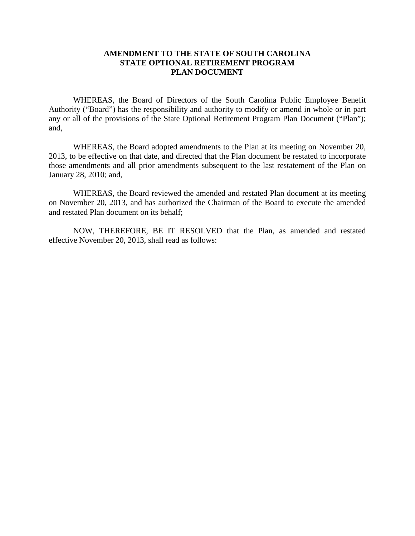#### **AMENDMENT TO THE STATE OF SOUTH CAROLINA STATE OPTIONAL RETIREMENT PROGRAM PLAN DOCUMENT**

WHEREAS, the Board of Directors of the South Carolina Public Employee Benefit Authority ("Board") has the responsibility and authority to modify or amend in whole or in part any or all of the provisions of the State Optional Retirement Program Plan Document ("Plan"); and,

WHEREAS, the Board adopted amendments to the Plan at its meeting on November 20, 2013, to be effective on that date, and directed that the Plan document be restated to incorporate those amendments and all prior amendments subsequent to the last restatement of the Plan on January 28, 2010; and,

WHEREAS, the Board reviewed the amended and restated Plan document at its meeting on November 20, 2013, and has authorized the Chairman of the Board to execute the amended and restated Plan document on its behalf;

NOW, THEREFORE, BE IT RESOLVED that the Plan, as amended and restated effective November 20, 2013, shall read as follows: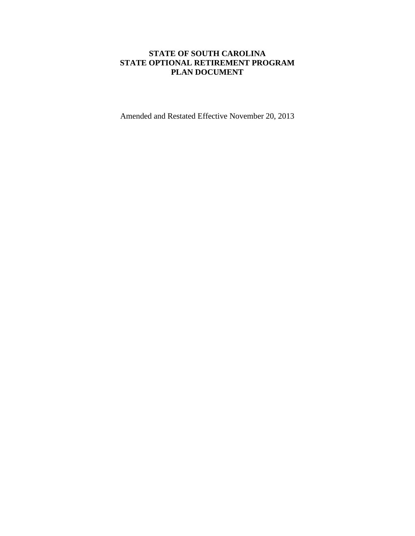### **STATE OF SOUTH CAROLINA STATE OPTIONAL RETIREMENT PROGRAM PLAN DOCUMENT**

Amended and Restated Effective November 20, 2013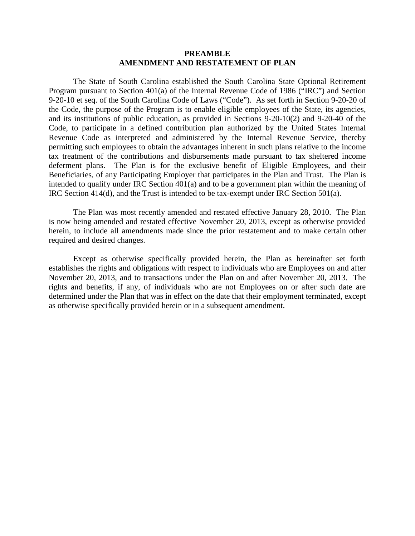#### **PREAMBLE AMENDMENT AND RESTATEMENT OF PLAN**

The State of South Carolina established the South Carolina State Optional Retirement Program pursuant to Section 401(a) of the Internal Revenue Code of 1986 ("IRC") and Section 9-20-10 et seq. of the South Carolina Code of Laws ("Code"). As set forth in Section 9-20-20 of the Code, the purpose of the Program is to enable eligible employees of the State, its agencies, and its institutions of public education, as provided in Sections 9-20-10(2) and 9-20-40 of the Code, to participate in a defined contribution plan authorized by the United States Internal Revenue Code as interpreted and administered by the Internal Revenue Service, thereby permitting such employees to obtain the advantages inherent in such plans relative to the income tax treatment of the contributions and disbursements made pursuant to tax sheltered income deferment plans. The Plan is for the exclusive benefit of Eligible Employees, and their Beneficiaries, of any Participating Employer that participates in the Plan and Trust. The Plan is intended to qualify under IRC Section 401(a) and to be a government plan within the meaning of IRC Section 414(d), and the Trust is intended to be tax-exempt under IRC Section 501(a).

The Plan was most recently amended and restated effective January 28, 2010. The Plan is now being amended and restated effective November 20, 2013, except as otherwise provided herein, to include all amendments made since the prior restatement and to make certain other required and desired changes.

Except as otherwise specifically provided herein, the Plan as hereinafter set forth establishes the rights and obligations with respect to individuals who are Employees on and after November 20, 2013, and to transactions under the Plan on and after November 20, 2013. The rights and benefits, if any, of individuals who are not Employees on or after such date are determined under the Plan that was in effect on the date that their employment terminated, except as otherwise specifically provided herein or in a subsequent amendment.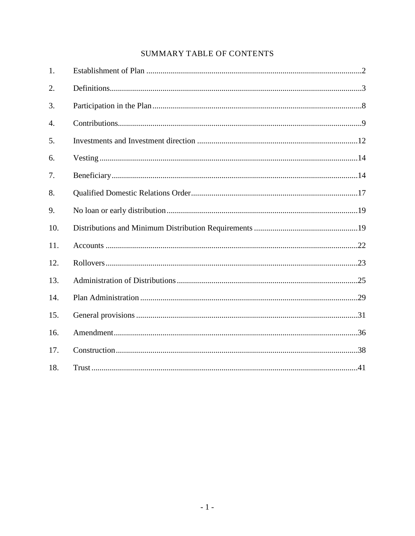## SUMMARY TABLE OF CONTENTS

| 1.               |  |
|------------------|--|
| 2.               |  |
| 3.               |  |
| $\overline{4}$ . |  |
| 5.               |  |
| 6.               |  |
| 7.               |  |
| 8.               |  |
| 9.               |  |
| 10.              |  |
| 11.              |  |
| 12.              |  |
| 13.              |  |
| 14.              |  |
| 15.              |  |
| 16.              |  |
| 17.              |  |
| 18.              |  |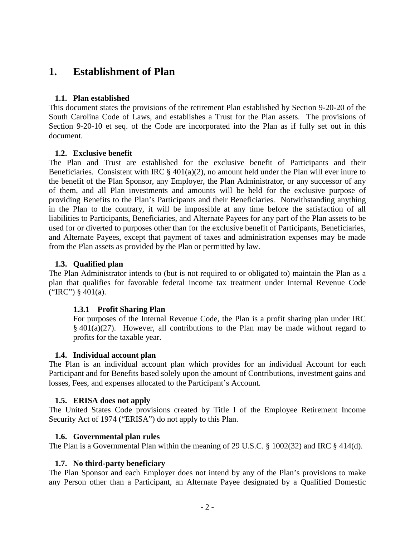## **1. Establishment of Plan**

#### **1.1. Plan established**

This document states the provisions of the retirement Plan established by Section 9-20-20 of the South Carolina Code of Laws, and establishes a Trust for the Plan assets. The provisions of Section 9-20-10 et seq. of the Code are incorporated into the Plan as if fully set out in this document.

#### **1.2. Exclusive benefit**

The Plan and Trust are established for the exclusive benefit of Participants and their Beneficiaries. Consistent with IRC  $\S$  401(a)(2), no amount held under the Plan will ever inure to the benefit of the Plan Sponsor, any Employer, the Plan Administrator, or any successor of any of them, and all Plan investments and amounts will be held for the exclusive purpose of providing Benefits to the Plan's Participants and their Beneficiaries. Notwithstanding anything in the Plan to the contrary, it will be impossible at any time before the satisfaction of all liabilities to Participants, Beneficiaries, and Alternate Payees for any part of the Plan assets to be used for or diverted to purposes other than for the exclusive benefit of Participants, Beneficiaries, and Alternate Payees, except that payment of taxes and administration expenses may be made from the Plan assets as provided by the Plan or permitted by law.

#### **1.3. Qualified plan**

The Plan Administrator intends to (but is not required to or obligated to) maintain the Plan as a plan that qualifies for favorable federal income tax treatment under Internal Revenue Code ("IRC")  $§$  401(a).

#### **1.3.1 Profit Sharing Plan**

For purposes of the Internal Revenue Code, the Plan is a profit sharing plan under IRC § 401(a)(27). However, all contributions to the Plan may be made without regard to profits for the taxable year.

#### **1.4. Individual account plan**

The Plan is an individual account plan which provides for an individual Account for each Participant and for Benefits based solely upon the amount of Contributions, investment gains and losses, Fees, and expenses allocated to the Participant's Account.

#### **1.5. ERISA does not apply**

The United States Code provisions created by Title I of the Employee Retirement Income Security Act of 1974 ("ERISA") do not apply to this Plan.

#### **1.6. Governmental plan rules**

The Plan is a Governmental Plan within the meaning of 29 U.S.C. § 1002(32) and IRC § 414(d).

#### **1.7. No third-party beneficiary**

The Plan Sponsor and each Employer does not intend by any of the Plan's provisions to make any Person other than a Participant, an Alternate Payee designated by a Qualified Domestic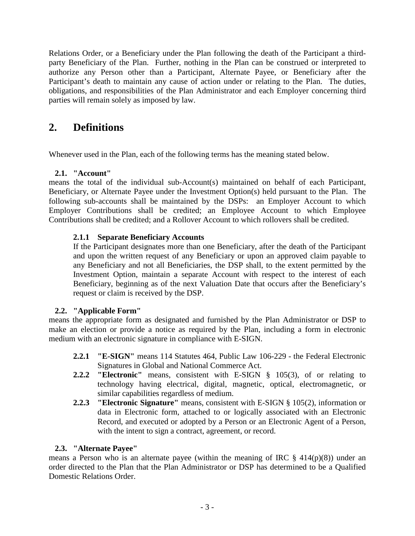Relations Order, or a Beneficiary under the Plan following the death of the Participant a thirdparty Beneficiary of the Plan. Further, nothing in the Plan can be construed or interpreted to authorize any Person other than a Participant, Alternate Payee, or Beneficiary after the Participant's death to maintain any cause of action under or relating to the Plan. The duties, obligations, and responsibilities of the Plan Administrator and each Employer concerning third parties will remain solely as imposed by law.

## **2. Definitions**

Whenever used in the Plan, each of the following terms has the meaning stated below.

#### **2.1. "Account"**

means the total of the individual sub-Account(s) maintained on behalf of each Participant, Beneficiary, or Alternate Payee under the Investment Option(s) held pursuant to the Plan. The following sub-accounts shall be maintained by the DSPs: an Employer Account to which Employer Contributions shall be credited; an Employee Account to which Employee Contributions shall be credited; and a Rollover Account to which rollovers shall be credited.

#### **2.1.1 Separate Beneficiary Accounts**

If the Participant designates more than one Beneficiary, after the death of the Participant and upon the written request of any Beneficiary or upon an approved claim payable to any Beneficiary and not all Beneficiaries, the DSP shall, to the extent permitted by the Investment Option, maintain a separate Account with respect to the interest of each Beneficiary, beginning as of the next Valuation Date that occurs after the Beneficiary's request or claim is received by the DSP.

#### **2.2. "Applicable Form"**

means the appropriate form as designated and furnished by the Plan Administrator or DSP to make an election or provide a notice as required by the Plan, including a form in electronic medium with an electronic signature in compliance with E-SIGN.

- **2.2.1 "E-SIGN"** means 114 Statutes 464, Public Law 106-229 the Federal Electronic Signatures in Global and National Commerce Act.
- **2.2.2 "Electronic"** means, consistent with E-SIGN § 105(3), of or relating to technology having electrical, digital, magnetic, optical, electromagnetic, or similar capabilities regardless of medium.
- **2.2.3 "Electronic Signature"** means, consistent with E-SIGN § 105(2), information or data in Electronic form, attached to or logically associated with an Electronic Record, and executed or adopted by a Person or an Electronic Agent of a Person, with the intent to sign a contract, agreement, or record.

#### **2.3. "Alternate Payee"**

means a Person who is an alternate payee (within the meaning of IRC  $\S$  414(p)(8)) under an order directed to the Plan that the Plan Administrator or DSP has determined to be a Qualified Domestic Relations Order.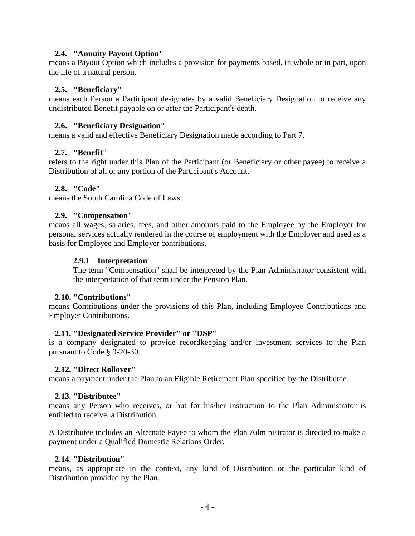#### **2.4. "Annuity Payout Option"**

means a Payout Option which includes a provision for payments based, in whole or in part, upon the life of a natural person.

#### **2.5. "Beneficiary"**

means each Person a Participant designates by a valid Beneficiary Designation to receive any undistributed Benefit payable on or after the Participant's death.

#### **2.6. "Beneficiary Designation"**

means a valid and effective Beneficiary Designation made according to Part 7.

#### **2.7. "Benefit"**

refers to the right under this Plan of the Participant (or Beneficiary or other payee) to receive a Distribution of all or any portion of the Participant's Account.

#### **2.8. "Code"**

means the South Carolina Code of Laws.

#### **2.9. "Compensation"**

means all wages, salaries, fees, and other amounts paid to the Employee by the Employer for personal services actually rendered in the course of employment with the Employer and used as a basis for Employee and Employer contributions.

#### **2.9.1 Interpretation**

The term "Compensation" shall be interpreted by the Plan Administrator consistent with the interpretation of that term under the Pension Plan.

#### **2.10. "Contributions"**

means Contributions under the provisions of this Plan, including Employee Contributions and Employer Contributions.

#### **2.11. "Designated Service Provider" or "DSP"**

is a company designated to provide recordkeeping and/or investment services to the Plan pursuant to Code § 9-20-30.

#### **2.12. "Direct Rollover"**

means a payment under the Plan to an Eligible Retirement Plan specified by the Distributee.

#### **2.13. "Distributee"**

means any Person who receives, or but for his/her instruction to the Plan Administrator is entitled to receive, a Distribution.

A Distributee includes an Alternate Payee to whom the Plan Administrator is directed to make a payment under a Qualified Domestic Relations Order.

#### **2.14. "Distribution"**

means, as appropriate in the context, any kind of Distribution or the particular kind of Distribution provided by the Plan.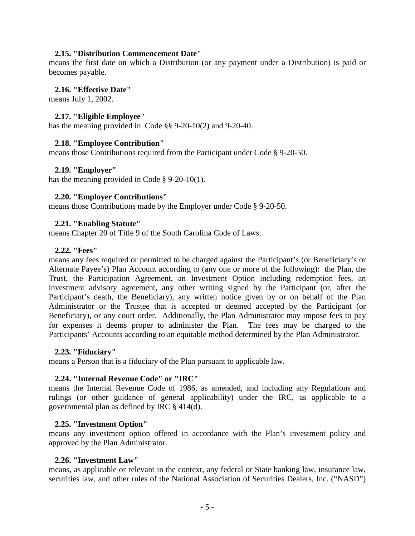#### **2.15. "Distribution Commencement Date"**

means the first date on which a Distribution (or any payment under a Distribution) is paid or becomes payable.

#### **2.16. "Effective Date"**

means July 1, 2002.

#### **2.17. "Eligible Employee"**

has the meaning provided in Code §§ 9-20-10(2) and 9-20-40.

#### **2.18. "Employee Contribution"**

means those Contributions required from the Participant under Code § 9-20-50.

#### **2.19. "Employer"**

has the meaning provided in Code § 9-20-10(1).

#### **2.20. "Employer Contributions"**

means those Contributions made by the Employer under Code § 9-20-50.

#### **2.21. "Enabling Statute"**

means Chapter 20 of Title 9 of the South Carolina Code of Laws.

#### **2.22. "Fees"**

means any fees required or permitted to be charged against the Participant's (or Beneficiary's or Alternate Payee's) Plan Account according to (any one or more of the following): the Plan, the Trust, the Participation Agreement, an Investment Option including redemption fees, an investment advisory agreement, any other writing signed by the Participant (or, after the Participant's death, the Beneficiary), any written notice given by or on behalf of the Plan Administrator or the Trustee that is accepted or deemed accepted by the Participant (or Beneficiary), or any court order. Additionally, the Plan Administrator may impose fees to pay for expenses it deems proper to administer the Plan. The fees may be charged to the Participants' Accounts according to an equitable method determined by the Plan Administrator.

#### **2.23. "Fiduciary"**

means a Person that is a fiduciary of the Plan pursuant to applicable law.

#### **2.24. "Internal Revenue Code" or "IRC"**

means the Internal Revenue Code of 1986, as amended, and including any Regulations and rulings (or other guidance of general applicability) under the IRC, as applicable to a governmental plan as defined by IRC § 414(d).

#### **2.25. "Investment Option"**

means any investment option offered in accordance with the Plan's investment policy and approved by the Plan Administrator.

#### **2.26. "Investment Law"**

means, as applicable or relevant in the context, any federal or State banking law, insurance law, securities law, and other rules of the National Association of Securities Dealers, Inc. ("NASD")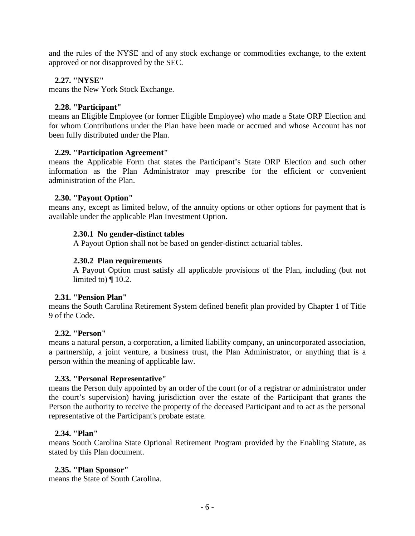and the rules of the NYSE and of any stock exchange or commodities exchange, to the extent approved or not disapproved by the SEC.

#### **2.27. "NYSE"**

means the New York Stock Exchange.

#### **2.28. "Participant"**

means an Eligible Employee (or former Eligible Employee) who made a State ORP Election and for whom Contributions under the Plan have been made or accrued and whose Account has not been fully distributed under the Plan.

#### **2.29. "Participation Agreement"**

means the Applicable Form that states the Participant's State ORP Election and such other information as the Plan Administrator may prescribe for the efficient or convenient administration of the Plan.

#### **2.30. "Payout Option"**

means any, except as limited below, of the annuity options or other options for payment that is available under the applicable Plan Investment Option.

#### **2.30.1 No gender-distinct tables**

A Payout Option shall not be based on gender-distinct actuarial tables.

#### **2.30.2 Plan requirements**

A Payout Option must satisfy all applicable provisions of the Plan, including (but not limited to) ¶ 10.2.

#### **2.31. "Pension Plan"**

means the South Carolina Retirement System defined benefit plan provided by Chapter 1 of Title 9 of the Code.

#### **2.32. "Person"**

means a natural person, a corporation, a limited liability company, an unincorporated association, a partnership, a joint venture, a business trust, the Plan Administrator, or anything that is a person within the meaning of applicable law.

#### **2.33. "Personal Representative"**

means the Person duly appointed by an order of the court (or of a registrar or administrator under the court's supervision) having jurisdiction over the estate of the Participant that grants the Person the authority to receive the property of the deceased Participant and to act as the personal representative of the Participant's probate estate.

#### **2.34. "Plan"**

means South Carolina State Optional Retirement Program provided by the Enabling Statute, as stated by this Plan document.

#### **2.35. "Plan Sponsor"**

means the State of South Carolina.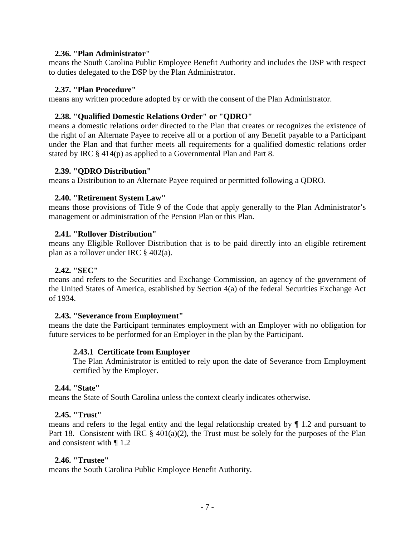#### **2.36. "Plan Administrator"**

means the South Carolina Public Employee Benefit Authority and includes the DSP with respect to duties delegated to the DSP by the Plan Administrator.

#### **2.37. "Plan Procedure"**

means any written procedure adopted by or with the consent of the Plan Administrator.

#### **2.38. "Qualified Domestic Relations Order" or "QDRO"**

means a domestic relations order directed to the Plan that creates or recognizes the existence of the right of an Alternate Payee to receive all or a portion of any Benefit payable to a Participant under the Plan and that further meets all requirements for a qualified domestic relations order stated by IRC § 414(p) as applied to a Governmental Plan and Part 8.

#### **2.39. "QDRO Distribution"**

means a Distribution to an Alternate Payee required or permitted following a QDRO.

#### **2.40. "Retirement System Law"**

means those provisions of Title 9 of the Code that apply generally to the Plan Administrator's management or administration of the Pension Plan or this Plan.

#### **2.41. "Rollover Distribution"**

means any Eligible Rollover Distribution that is to be paid directly into an eligible retirement plan as a rollover under IRC § 402(a).

#### **2.42. "SEC"**

means and refers to the Securities and Exchange Commission, an agency of the government of the United States of America, established by Section 4(a) of the federal Securities Exchange Act of 1934.

#### **2.43. "Severance from Employment"**

means the date the Participant terminates employment with an Employer with no obligation for future services to be performed for an Employer in the plan by the Participant.

#### **2.43.1 Certificate from Employer**

The Plan Administrator is entitled to rely upon the date of Severance from Employment certified by the Employer.

#### **2.44. "State"**

means the State of South Carolina unless the context clearly indicates otherwise.

#### **2.45. "Trust"**

means and refers to the legal entity and the legal relationship created by ¶ 1.2 and pursuant to Part 18. Consistent with IRC  $\S$  401(a)(2), the Trust must be solely for the purposes of the Plan and consistent with **¶** 1.2

#### **2.46. "Trustee"**

means the South Carolina Public Employee Benefit Authority.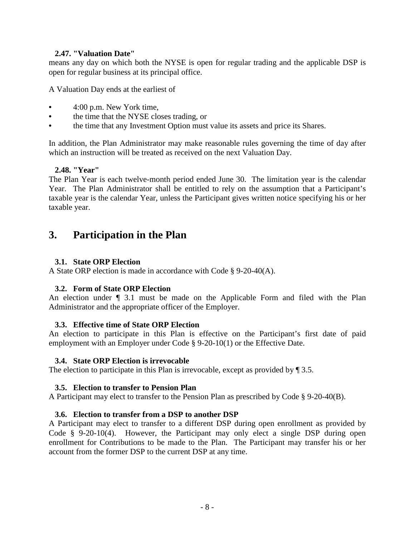#### **2.47. "Valuation Date"**

means any day on which both the NYSE is open for regular trading and the applicable DSP is open for regular business at its principal office.

A Valuation Day ends at the earliest of

- 4:00 p.m. New York time,
- the time that the NYSE closes trading, or
- the time that any Investment Option must value its assets and price its Shares.

In addition, the Plan Administrator may make reasonable rules governing the time of day after which an instruction will be treated as received on the next Valuation Day.

#### **2.48. "Year"**

The Plan Year is each twelve-month period ended June 30. The limitation year is the calendar Year. The Plan Administrator shall be entitled to rely on the assumption that a Participant's taxable year is the calendar Year, unless the Participant gives written notice specifying his or her taxable year.

## **3. Participation in the Plan**

#### **3.1. State ORP Election**

A State ORP election is made in accordance with Code § 9-20-40(A).

#### **3.2. Form of State ORP Election**

An election under ¶ 3.1 must be made on the Applicable Form and filed with the Plan Administrator and the appropriate officer of the Employer.

#### **3.3. Effective time of State ORP Election**

An election to participate in this Plan is effective on the Participant's first date of paid employment with an Employer under Code § 9-20-10(1) or the Effective Date.

#### **3.4. State ORP Election is irrevocable**

The election to participate in this Plan is irrevocable, except as provided by  $\P$  3.5.

#### **3.5. Election to transfer to Pension Plan**

A Participant may elect to transfer to the Pension Plan as prescribed by Code § 9-20-40(B).

#### **3.6. Election to transfer from a DSP to another DSP**

A Participant may elect to transfer to a different DSP during open enrollment as provided by Code § 9-20-10(4). However, the Participant may only elect a single DSP during open enrollment for Contributions to be made to the Plan. The Participant may transfer his or her account from the former DSP to the current DSP at any time.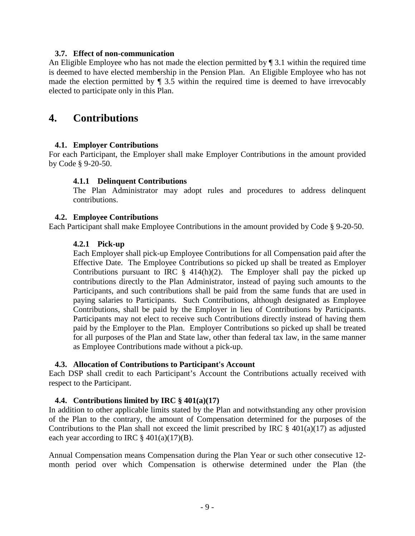#### **3.7. Effect of non-communication**

An Eligible Employee who has not made the election permitted by  $\P$  3.1 within the required time is deemed to have elected membership in the Pension Plan. An Eligible Employee who has not made the election permitted by  $\P$  3.5 within the required time is deemed to have irrevocably elected to participate only in this Plan.

## **4. Contributions**

#### **4.1. Employer Contributions**

For each Participant, the Employer shall make Employer Contributions in the amount provided by Code § 9-20-50.

#### **4.1.1 Delinquent Contributions**

The Plan Administrator may adopt rules and procedures to address delinquent contributions.

#### **4.2. Employee Contributions**

Each Participant shall make Employee Contributions in the amount provided by Code § 9-20-50.

#### **4.2.1 Pick-up**

Each Employer shall pick-up Employee Contributions for all Compensation paid after the Effective Date. The Employee Contributions so picked up shall be treated as Employer Contributions pursuant to IRC  $\S$  414(h)(2). The Employer shall pay the picked up contributions directly to the Plan Administrator, instead of paying such amounts to the Participants, and such contributions shall be paid from the same funds that are used in paying salaries to Participants. Such Contributions, although designated as Employee Contributions, shall be paid by the Employer in lieu of Contributions by Participants. Participants may not elect to receive such Contributions directly instead of having them paid by the Employer to the Plan. Employer Contributions so picked up shall be treated for all purposes of the Plan and State law, other than federal tax law, in the same manner as Employee Contributions made without a pick-up.

#### **4.3. Allocation of Contributions to Participant's Account**

Each DSP shall credit to each Participant's Account the Contributions actually received with respect to the Participant.

#### **4.4. Contributions limited by IRC § 401(a)(17)**

In addition to other applicable limits stated by the Plan and notwithstanding any other provision of the Plan to the contrary, the amount of Compensation determined for the purposes of the Contributions to the Plan shall not exceed the limit prescribed by IRC  $\S$  401(a)(17) as adjusted each year according to IRC  $\S$  401(a)(17)(B).

Annual Compensation means Compensation during the Plan Year or such other consecutive 12 month period over which Compensation is otherwise determined under the Plan (the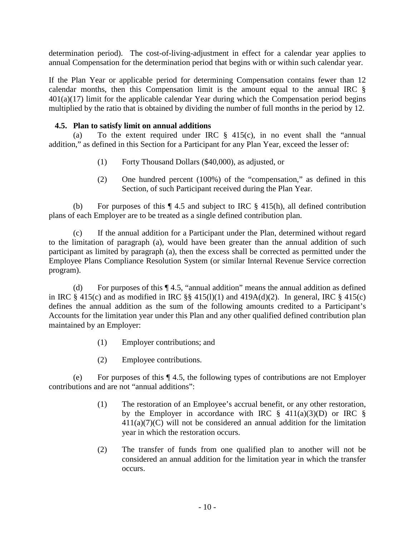determination period). The cost-of-living-adjustment in effect for a calendar year applies to annual Compensation for the determination period that begins with or within such calendar year.

If the Plan Year or applicable period for determining Compensation contains fewer than 12 calendar months, then this Compensation limit is the amount equal to the annual IRC §  $401(a)(17)$  limit for the applicable calendar Year during which the Compensation period begins multiplied by the ratio that is obtained by dividing the number of full months in the period by 12.

#### **4.5. Plan to satisfy limit on annual additions**

(a) To the extent required under IRC  $\S$  415(c), in no event shall the "annual addition," as defined in this Section for a Participant for any Plan Year, exceed the lesser of:

- (1) Forty Thousand Dollars (\$40,000), as adjusted, or
- (2) One hundred percent (100%) of the "compensation," as defined in this Section, of such Participant received during the Plan Year.

(b) For purposes of this ¶ 4.5 and subject to IRC § 415(h), all defined contribution plans of each Employer are to be treated as a single defined contribution plan.

(c) If the annual addition for a Participant under the Plan, determined without regard to the limitation of paragraph (a), would have been greater than the annual addition of such participant as limited by paragraph (a), then the excess shall be corrected as permitted under the Employee Plans Compliance Resolution System (or similar Internal Revenue Service correction program).

(d) For purposes of this ¶ 4.5, "annual addition" means the annual addition as defined in IRC  $\S 415(c)$  and as modified in IRC  $\S \ S 415(l)(1)$  and  $419A(d)(2)$ . In general, IRC  $\S 415(c)$ defines the annual addition as the sum of the following amounts credited to a Participant's Accounts for the limitation year under this Plan and any other qualified defined contribution plan maintained by an Employer:

- (1) Employer contributions; and
- (2) Employee contributions.

(e) For purposes of this ¶ 4.5, the following types of contributions are not Employer contributions and are not "annual additions":

- (1) The restoration of an Employee's accrual benefit, or any other restoration, by the Employer in accordance with IRC  $\S$  411(a)(3)(D) or IRC  $\S$  $411(a)(7)(C)$  will not be considered an annual addition for the limitation year in which the restoration occurs.
- (2) The transfer of funds from one qualified plan to another will not be considered an annual addition for the limitation year in which the transfer occurs.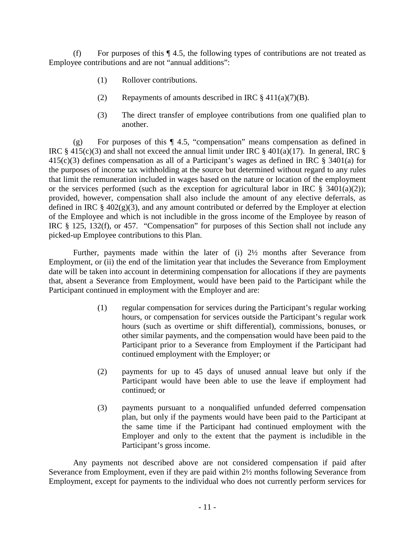(f) For purposes of this ¶ 4.5, the following types of contributions are not treated as Employee contributions and are not "annual additions":

- (1) Rollover contributions.
- (2) Repayments of amounts described in IRC  $\S 411(a)(7)(B)$ .
- (3) The direct transfer of employee contributions from one qualified plan to another.

(g) For purposes of this ¶ 4.5, "compensation" means compensation as defined in IRC  $\S$  415(c)(3) and shall not exceed the annual limit under IRC  $\S$  401(a)(17). In general, IRC  $\S$ 415(c)(3) defines compensation as all of a Participant's wages as defined in IRC § 3401(a) for the purposes of income tax withholding at the source but determined without regard to any rules that limit the remuneration included in wages based on the nature or location of the employment or the services performed (such as the exception for agricultural labor in IRC  $\S$  3401(a)(2)); provided, however, compensation shall also include the amount of any elective deferrals, as defined in IRC  $\S$  402(g)(3), and any amount contributed or deferred by the Employer at election of the Employee and which is not includible in the gross income of the Employee by reason of IRC § 125, 132(f), or 457. "Compensation" for purposes of this Section shall not include any picked-up Employee contributions to this Plan.

Further, payments made within the later of (i) 2½ months after Severance from Employment, or (ii) the end of the limitation year that includes the Severance from Employment date will be taken into account in determining compensation for allocations if they are payments that, absent a Severance from Employment, would have been paid to the Participant while the Participant continued in employment with the Employer and are:

- (1) regular compensation for services during the Participant's regular working hours, or compensation for services outside the Participant's regular work hours (such as overtime or shift differential), commissions, bonuses, or other similar payments, and the compensation would have been paid to the Participant prior to a Severance from Employment if the Participant had continued employment with the Employer; or
- (2) payments for up to 45 days of unused annual leave but only if the Participant would have been able to use the leave if employment had continued; or
- (3) payments pursuant to a nonqualified unfunded deferred compensation plan, but only if the payments would have been paid to the Participant at the same time if the Participant had continued employment with the Employer and only to the extent that the payment is includible in the Participant's gross income.

Any payments not described above are not considered compensation if paid after Severance from Employment, even if they are paid within 2½ months following Severance from Employment, except for payments to the individual who does not currently perform services for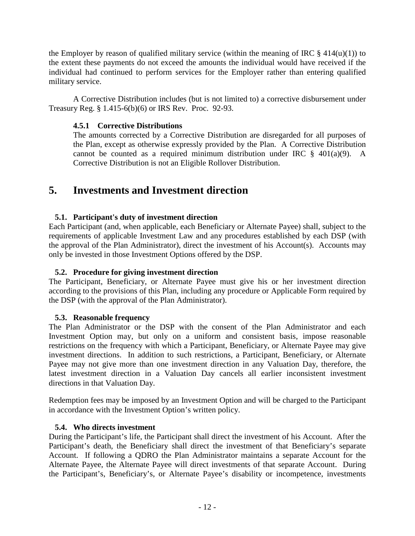the Employer by reason of qualified military service (within the meaning of IRC  $\S$  414(u)(1)) to the extent these payments do not exceed the amounts the individual would have received if the individual had continued to perform services for the Employer rather than entering qualified military service.

A Corrective Distribution includes (but is not limited to) a corrective disbursement under Treasury Reg. § 1.415-6(b)(6) or IRS Rev. Proc. 92-93.

### **4.5.1 Corrective Distributions**

The amounts corrected by a Corrective Distribution are disregarded for all purposes of the Plan, except as otherwise expressly provided by the Plan. A Corrective Distribution cannot be counted as a required minimum distribution under IRC  $\S$  401(a)(9). A Corrective Distribution is not an Eligible Rollover Distribution.

## **5. Investments and Investment direction**

### **5.1. Participant's duty of investment direction**

Each Participant (and, when applicable, each Beneficiary or Alternate Payee) shall, subject to the requirements of applicable Investment Law and any procedures established by each DSP (with the approval of the Plan Administrator), direct the investment of his Account(s). Accounts may only be invested in those Investment Options offered by the DSP.

### **5.2. Procedure for giving investment direction**

The Participant, Beneficiary, or Alternate Payee must give his or her investment direction according to the provisions of this Plan, including any procedure or Applicable Form required by the DSP (with the approval of the Plan Administrator).

#### **5.3. Reasonable frequency**

The Plan Administrator or the DSP with the consent of the Plan Administrator and each Investment Option may, but only on a uniform and consistent basis, impose reasonable restrictions on the frequency with which a Participant, Beneficiary, or Alternate Payee may give investment directions. In addition to such restrictions, a Participant, Beneficiary, or Alternate Payee may not give more than one investment direction in any Valuation Day, therefore, the latest investment direction in a Valuation Day cancels all earlier inconsistent investment directions in that Valuation Day.

Redemption fees may be imposed by an Investment Option and will be charged to the Participant in accordance with the Investment Option's written policy.

#### **5.4. Who directs investment**

During the Participant's life, the Participant shall direct the investment of his Account. After the Participant's death, the Beneficiary shall direct the investment of that Beneficiary's separate Account. If following a QDRO the Plan Administrator maintains a separate Account for the Alternate Payee, the Alternate Payee will direct investments of that separate Account. During the Participant's, Beneficiary's, or Alternate Payee's disability or incompetence, investments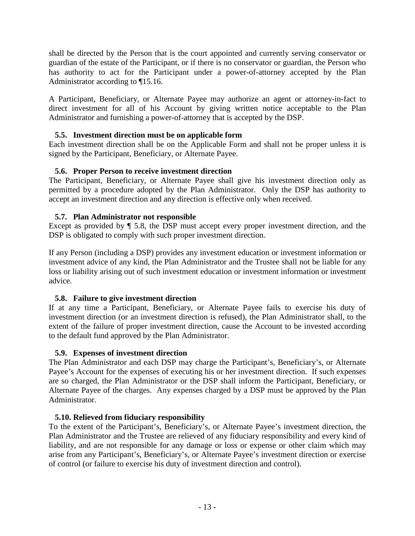shall be directed by the Person that is the court appointed and currently serving conservator or guardian of the estate of the Participant, or if there is no conservator or guardian, the Person who has authority to act for the Participant under a power-of-attorney accepted by the Plan Administrator according to ¶15.16.

A Participant, Beneficiary, or Alternate Payee may authorize an agent or attorney-in-fact to direct investment for all of his Account by giving written notice acceptable to the Plan Administrator and furnishing a power-of-attorney that is accepted by the DSP.

### **5.5. Investment direction must be on applicable form**

Each investment direction shall be on the Applicable Form and shall not be proper unless it is signed by the Participant, Beneficiary, or Alternate Payee.

### **5.6. Proper Person to receive investment direction**

The Participant, Beneficiary, or Alternate Payee shall give his investment direction only as permitted by a procedure adopted by the Plan Administrator. Only the DSP has authority to accept an investment direction and any direction is effective only when received.

### **5.7. Plan Administrator not responsible**

Except as provided by ¶ 5.8, the DSP must accept every proper investment direction, and the DSP is obligated to comply with such proper investment direction.

If any Person (including a DSP) provides any investment education or investment information or investment advice of any kind, the Plan Administrator and the Trustee shall not be liable for any loss or liability arising out of such investment education or investment information or investment advice.

### **5.8. Failure to give investment direction**

If at any time a Participant, Beneficiary, or Alternate Payee fails to exercise his duty of investment direction (or an investment direction is refused), the Plan Administrator shall, to the extent of the failure of proper investment direction, cause the Account to be invested according to the default fund approved by the Plan Administrator.

### **5.9. Expenses of investment direction**

The Plan Administrator and each DSP may charge the Participant's, Beneficiary's, or Alternate Payee's Account for the expenses of executing his or her investment direction. If such expenses are so charged, the Plan Administrator or the DSP shall inform the Participant, Beneficiary, or Alternate Payee of the charges. Any expenses charged by a DSP must be approved by the Plan Administrator.

### **5.10. Relieved from fiduciary responsibility**

To the extent of the Participant's, Beneficiary's, or Alternate Payee's investment direction, the Plan Administrator and the Trustee are relieved of any fiduciary responsibility and every kind of liability, and are not responsible for any damage or loss or expense or other claim which may arise from any Participant's, Beneficiary's, or Alternate Payee's investment direction or exercise of control (or failure to exercise his duty of investment direction and control).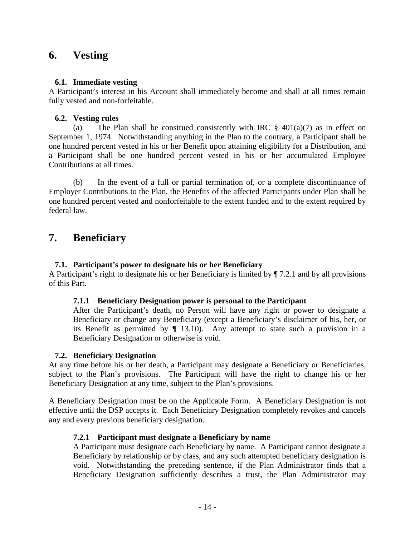## **6. Vesting**

#### **6.1. Immediate vesting**

A Participant's interest in his Account shall immediately become and shall at all times remain fully vested and non-forfeitable.

#### **6.2. Vesting rules**

(a) The Plan shall be construed consistently with IRC  $\S$  401(a)(7) as in effect on September 1, 1974. Notwithstanding anything in the Plan to the contrary, a Participant shall be one hundred percent vested in his or her Benefit upon attaining eligibility for a Distribution, and a Participant shall be one hundred percent vested in his or her accumulated Employee Contributions at all times.

(b) In the event of a full or partial termination of, or a complete discontinuance of Employer Contributions to the Plan, the Benefits of the affected Participants under Plan shall be one hundred percent vested and nonforfeitable to the extent funded and to the extent required by federal law.

## **7. Beneficiary**

#### **7.1. Participant's power to designate his or her Beneficiary**

A Participant's right to designate his or her Beneficiary is limited by ¶ 7.2.1 and by all provisions of this Part.

#### **7.1.1 Beneficiary Designation power is personal to the Participant**

After the Participant's death, no Person will have any right or power to designate a Beneficiary or change any Beneficiary (except a Beneficiary's disclaimer of his, her, or its Benefit as permitted by  $\P$  13.10). Any attempt to state such a provision in a Beneficiary Designation or otherwise is void.

#### **7.2. Beneficiary Designation**

At any time before his or her death, a Participant may designate a Beneficiary or Beneficiaries, subject to the Plan's provisions. The Participant will have the right to change his or her Beneficiary Designation at any time, subject to the Plan's provisions.

A Beneficiary Designation must be on the Applicable Form. A Beneficiary Designation is not effective until the DSP accepts it. Each Beneficiary Designation completely revokes and cancels any and every previous beneficiary designation.

#### **7.2.1 Participant must designate a Beneficiary by name**

A Participant must designate each Beneficiary by name. A Participant cannot designate a Beneficiary by relationship or by class, and any such attempted beneficiary designation is void. Notwithstanding the preceding sentence, if the Plan Administrator finds that a Beneficiary Designation sufficiently describes a trust, the Plan Administrator may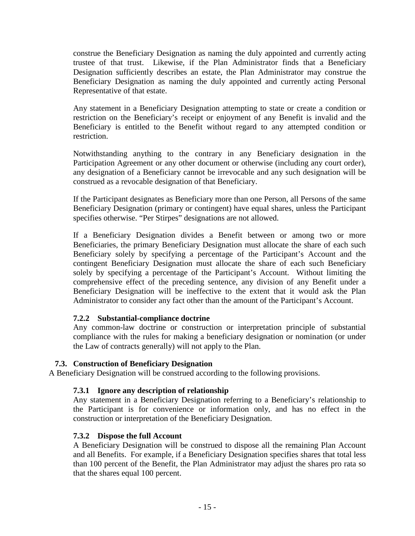construe the Beneficiary Designation as naming the duly appointed and currently acting trustee of that trust. Likewise, if the Plan Administrator finds that a Beneficiary Designation sufficiently describes an estate, the Plan Administrator may construe the Beneficiary Designation as naming the duly appointed and currently acting Personal Representative of that estate.

Any statement in a Beneficiary Designation attempting to state or create a condition or restriction on the Beneficiary's receipt or enjoyment of any Benefit is invalid and the Beneficiary is entitled to the Benefit without regard to any attempted condition or restriction.

Notwithstanding anything to the contrary in any Beneficiary designation in the Participation Agreement or any other document or otherwise (including any court order), any designation of a Beneficiary cannot be irrevocable and any such designation will be construed as a revocable designation of that Beneficiary.

If the Participant designates as Beneficiary more than one Person, all Persons of the same Beneficiary Designation (primary or contingent) have equal shares, unless the Participant specifies otherwise. "Per Stirpes" designations are not allowed.

If a Beneficiary Designation divides a Benefit between or among two or more Beneficiaries, the primary Beneficiary Designation must allocate the share of each such Beneficiary solely by specifying a percentage of the Participant's Account and the contingent Beneficiary Designation must allocate the share of each such Beneficiary solely by specifying a percentage of the Participant's Account. Without limiting the comprehensive effect of the preceding sentence, any division of any Benefit under a Beneficiary Designation will be ineffective to the extent that it would ask the Plan Administrator to consider any fact other than the amount of the Participant's Account.

#### **7.2.2 Substantial-compliance doctrine**

Any common-law doctrine or construction or interpretation principle of substantial compliance with the rules for making a beneficiary designation or nomination (or under the Law of contracts generally) will not apply to the Plan.

#### **7.3. Construction of Beneficiary Designation**

A Beneficiary Designation will be construed according to the following provisions.

#### **7.3.1 Ignore any description of relationship**

Any statement in a Beneficiary Designation referring to a Beneficiary's relationship to the Participant is for convenience or information only, and has no effect in the construction or interpretation of the Beneficiary Designation.

#### **7.3.2 Dispose the full Account**

A Beneficiary Designation will be construed to dispose all the remaining Plan Account and all Benefits. For example, if a Beneficiary Designation specifies shares that total less than 100 percent of the Benefit, the Plan Administrator may adjust the shares pro rata so that the shares equal 100 percent.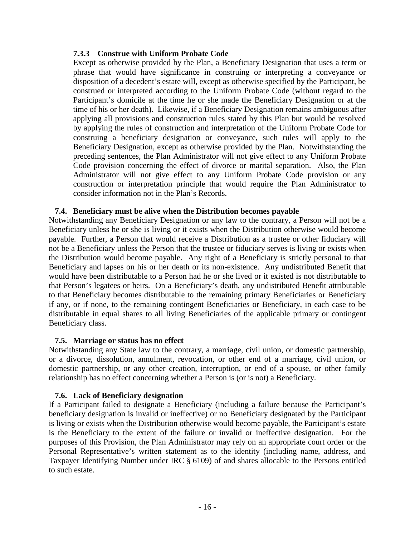#### **7.3.3 Construe with Uniform Probate Code**

Except as otherwise provided by the Plan, a Beneficiary Designation that uses a term or phrase that would have significance in construing or interpreting a conveyance or disposition of a decedent's estate will, except as otherwise specified by the Participant, be construed or interpreted according to the Uniform Probate Code (without regard to the Participant's domicile at the time he or she made the Beneficiary Designation or at the time of his or her death). Likewise, if a Beneficiary Designation remains ambiguous after applying all provisions and construction rules stated by this Plan but would be resolved by applying the rules of construction and interpretation of the Uniform Probate Code for construing a beneficiary designation or conveyance, such rules will apply to the Beneficiary Designation, except as otherwise provided by the Plan. Notwithstanding the preceding sentences, the Plan Administrator will not give effect to any Uniform Probate Code provision concerning the effect of divorce or marital separation. Also, the Plan Administrator will not give effect to any Uniform Probate Code provision or any construction or interpretation principle that would require the Plan Administrator to consider information not in the Plan's Records.

#### **7.4. Beneficiary must be alive when the Distribution becomes payable**

Notwithstanding any Beneficiary Designation or any law to the contrary, a Person will not be a Beneficiary unless he or she is living or it exists when the Distribution otherwise would become payable. Further, a Person that would receive a Distribution as a trustee or other fiduciary will not be a Beneficiary unless the Person that the trustee or fiduciary serves is living or exists when the Distribution would become payable. Any right of a Beneficiary is strictly personal to that Beneficiary and lapses on his or her death or its non-existence. Any undistributed Benefit that would have been distributable to a Person had he or she lived or it existed is not distributable to that Person's legatees or heirs. On a Beneficiary's death, any undistributed Benefit attributable to that Beneficiary becomes distributable to the remaining primary Beneficiaries or Beneficiary if any, or if none, to the remaining contingent Beneficiaries or Beneficiary, in each case to be distributable in equal shares to all living Beneficiaries of the applicable primary or contingent Beneficiary class.

#### **7.5. Marriage or status has no effect**

Notwithstanding any State law to the contrary, a marriage, civil union, or domestic partnership, or a divorce, dissolution, annulment, revocation, or other end of a marriage, civil union, or domestic partnership, or any other creation, interruption, or end of a spouse, or other family relationship has no effect concerning whether a Person is (or is not) a Beneficiary.

#### **7.6. Lack of Beneficiary designation**

If a Participant failed to designate a Beneficiary (including a failure because the Participant's beneficiary designation is invalid or ineffective) or no Beneficiary designated by the Participant is living or exists when the Distribution otherwise would become payable, the Participant's estate is the Beneficiary to the extent of the failure or invalid or ineffective designation. For the purposes of this Provision, the Plan Administrator may rely on an appropriate court order or the Personal Representative's written statement as to the identity (including name, address, and Taxpayer Identifying Number under IRC § 6109) of and shares allocable to the Persons entitled to such estate.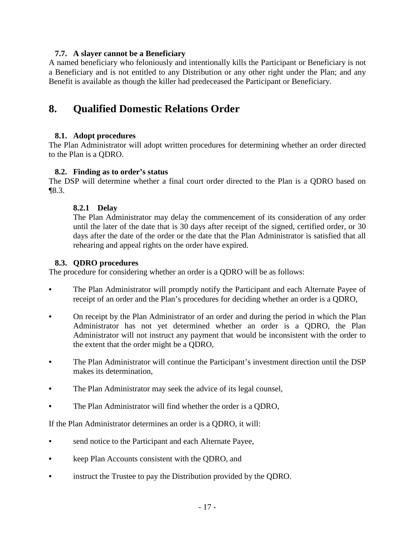#### **7.7. A slayer cannot be a Beneficiary**

A named beneficiary who feloniously and intentionally kills the Participant or Beneficiary is not a Beneficiary and is not entitled to any Distribution or any other right under the Plan; and any Benefit is available as though the killer had predeceased the Participant or Beneficiary.

## **8. Qualified Domestic Relations Order**

#### **8.1. Adopt procedures**

The Plan Administrator will adopt written procedures for determining whether an order directed to the Plan is a QDRO.

#### **8.2. Finding as to order's status**

The DSP will determine whether a final court order directed to the Plan is a QDRO based on ¶8.3.

#### **8.2.1 Delay**

The Plan Administrator may delay the commencement of its consideration of any order until the later of the date that is 30 days after receipt of the signed, certified order, or 30 days after the date of the order or the date that the Plan Administrator is satisfied that all rehearing and appeal rights on the order have expired.

#### **8.3. QDRO procedures**

The procedure for considering whether an order is a QDRO will be as follows:

- The Plan Administrator will promptly notify the Participant and each Alternate Payee of receipt of an order and the Plan's procedures for deciding whether an order is a QDRO,
- On receipt by the Plan Administrator of an order and during the period in which the Plan Administrator has not yet determined whether an order is a QDRO, the Plan Administrator will not instruct any payment that would be inconsistent with the order to the extent that the order might be a QDRO,
- The Plan Administrator will continue the Participant's investment direction until the DSP makes its determination,
- The Plan Administrator may seek the advice of its legal counsel,
- The Plan Administrator will find whether the order is a QDRO,

If the Plan Administrator determines an order is a QDRO, it will:

- send notice to the Participant and each Alternate Payee,
- keep Plan Accounts consistent with the QDRO, and
- instruct the Trustee to pay the Distribution provided by the QDRO.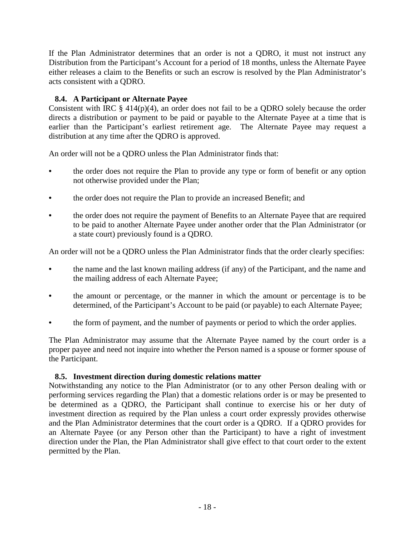If the Plan Administrator determines that an order is not a QDRO, it must not instruct any Distribution from the Participant's Account for a period of 18 months, unless the Alternate Payee either releases a claim to the Benefits or such an escrow is resolved by the Plan Administrator's acts consistent with a QDRO.

### **8.4. A Participant or Alternate Payee**

Consistent with IRC  $\S$  414(p)(4), an order does not fail to be a QDRO solely because the order directs a distribution or payment to be paid or payable to the Alternate Payee at a time that is earlier than the Participant's earliest retirement age. The Alternate Payee may request a distribution at any time after the QDRO is approved.

An order will not be a QDRO unless the Plan Administrator finds that:

- the order does not require the Plan to provide any type or form of benefit or any option not otherwise provided under the Plan;
- the order does not require the Plan to provide an increased Benefit; and
- the order does not require the payment of Benefits to an Alternate Payee that are required to be paid to another Alternate Payee under another order that the Plan Administrator (or a state court) previously found is a QDRO.

An order will not be a QDRO unless the Plan Administrator finds that the order clearly specifies:

- the name and the last known mailing address (if any) of the Participant, and the name and the mailing address of each Alternate Payee;
- the amount or percentage, or the manner in which the amount or percentage is to be determined, of the Participant's Account to be paid (or payable) to each Alternate Payee;
- the form of payment, and the number of payments or period to which the order applies.

The Plan Administrator may assume that the Alternate Payee named by the court order is a proper payee and need not inquire into whether the Person named is a spouse or former spouse of the Participant.

#### **8.5. Investment direction during domestic relations matter**

Notwithstanding any notice to the Plan Administrator (or to any other Person dealing with or performing services regarding the Plan) that a domestic relations order is or may be presented to be determined as a QDRO, the Participant shall continue to exercise his or her duty of investment direction as required by the Plan unless a court order expressly provides otherwise and the Plan Administrator determines that the court order is a QDRO. If a QDRO provides for an Alternate Payee (or any Person other than the Participant) to have a right of investment direction under the Plan, the Plan Administrator shall give effect to that court order to the extent permitted by the Plan.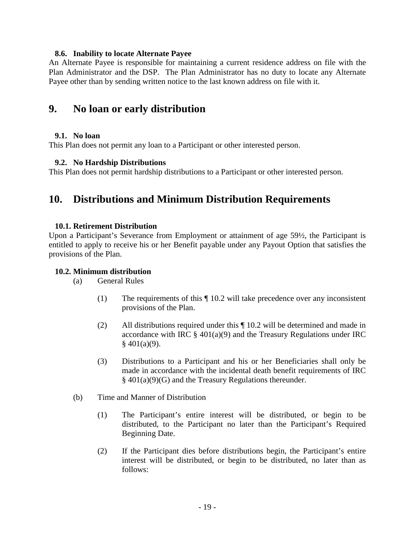#### **8.6. Inability to locate Alternate Payee**

An Alternate Payee is responsible for maintaining a current residence address on file with the Plan Administrator and the DSP. The Plan Administrator has no duty to locate any Alternate Payee other than by sending written notice to the last known address on file with it.

## **9. No loan or early distribution**

#### **9.1. No loan**

This Plan does not permit any loan to a Participant or other interested person.

#### **9.2. No Hardship Distributions**

This Plan does not permit hardship distributions to a Participant or other interested person.

## **10. Distributions and Minimum Distribution Requirements**

#### **10.1. Retirement Distribution**

Upon a Participant's Severance from Employment or attainment of age 59½, the Participant is entitled to apply to receive his or her Benefit payable under any Payout Option that satisfies the provisions of the Plan.

#### **10.2. Minimum distribution**

(a) General Rules

- (1) The requirements of this ¶ 10.2 will take precedence over any inconsistent provisions of the Plan.
- (2) All distributions required under this ¶ 10.2 will be determined and made in accordance with IRC  $\S$  401(a)(9) and the Treasury Regulations under IRC  $§$  401(a)(9).
- (3) Distributions to a Participant and his or her Beneficiaries shall only be made in accordance with the incidental death benefit requirements of IRC § 401(a)(9)(G) and the Treasury Regulations thereunder.
- (b) Time and Manner of Distribution
	- (1) The Participant's entire interest will be distributed, or begin to be distributed, to the Participant no later than the Participant's Required Beginning Date.
	- (2) If the Participant dies before distributions begin, the Participant's entire interest will be distributed, or begin to be distributed, no later than as follows: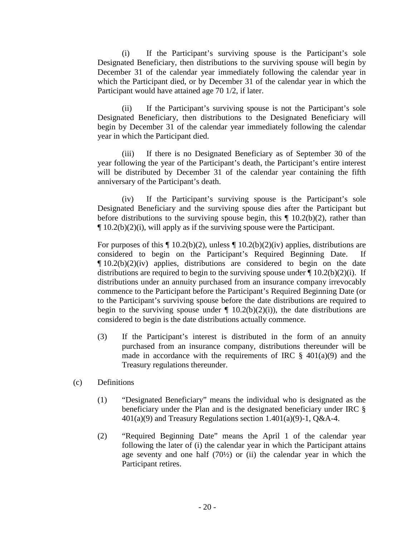(i) If the Participant's surviving spouse is the Participant's sole Designated Beneficiary, then distributions to the surviving spouse will begin by December 31 of the calendar year immediately following the calendar year in which the Participant died, or by December 31 of the calendar year in which the Participant would have attained age 70 1/2, if later.

(ii) If the Participant's surviving spouse is not the Participant's sole Designated Beneficiary, then distributions to the Designated Beneficiary will begin by December 31 of the calendar year immediately following the calendar year in which the Participant died.

(iii) If there is no Designated Beneficiary as of September 30 of the year following the year of the Participant's death, the Participant's entire interest will be distributed by December 31 of the calendar year containing the fifth anniversary of the Participant's death.

(iv) If the Participant's surviving spouse is the Participant's sole Designated Beneficiary and the surviving spouse dies after the Participant but before distributions to the surviving spouse begin, this  $\P$  10.2(b)(2), rather than  $\P$  10.2(b)(2)(i), will apply as if the surviving spouse were the Participant.

For purposes of this  $\P$  10.2(b)(2), unless  $\P$  10.2(b)(2)(iv) applies, distributions are considered to begin on the Participant's Required Beginning Date. If  $\P$  10.2(b)(2)(iv) applies, distributions are considered to begin on the date distributions are required to begin to the surviving spouse under  $\P$  10.2(b)(2)(i). If distributions under an annuity purchased from an insurance company irrevocably commence to the Participant before the Participant's Required Beginning Date (or to the Participant's surviving spouse before the date distributions are required to begin to the surviving spouse under  $\P$  10.2(b)(2)(i)), the date distributions are considered to begin is the date distributions actually commence.

- (3) If the Participant's interest is distributed in the form of an annuity purchased from an insurance company, distributions thereunder will be made in accordance with the requirements of IRC  $\S$  401(a)(9) and the Treasury regulations thereunder.
- (c) Definitions
	- (1) "Designated Beneficiary" means the individual who is designated as the beneficiary under the Plan and is the designated beneficiary under IRC §  $401(a)(9)$  and Treasury Regulations section 1.401(a)(9)-1, Q&A-4.
	- (2) "Required Beginning Date" means the April 1 of the calendar year following the later of (i) the calendar year in which the Participant attains age seventy and one half  $(70\frac{1}{2})$  or (ii) the calendar year in which the Participant retires.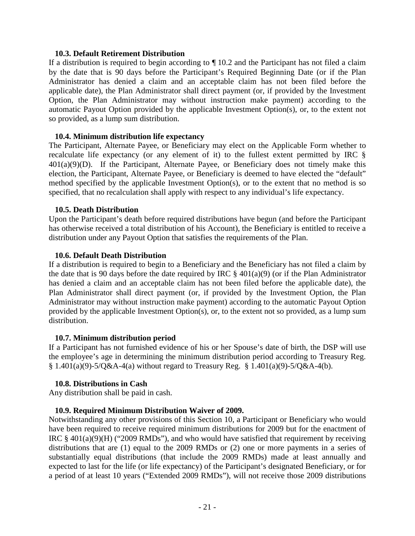#### **10.3. Default Retirement Distribution**

If a distribution is required to begin according to  $\P$  10.2 and the Participant has not filed a claim by the date that is 90 days before the Participant's Required Beginning Date (or if the Plan Administrator has denied a claim and an acceptable claim has not been filed before the applicable date), the Plan Administrator shall direct payment (or, if provided by the Investment Option, the Plan Administrator may without instruction make payment) according to the automatic Payout Option provided by the applicable Investment Option(s), or, to the extent not so provided, as a lump sum distribution.

#### **10.4. Minimum distribution life expectancy**

The Participant, Alternate Payee, or Beneficiary may elect on the Applicable Form whether to recalculate life expectancy (or any element of it) to the fullest extent permitted by IRC §  $401(a)(9)(D)$ . If the Participant, Alternate Payee, or Beneficiary does not timely make this election, the Participant, Alternate Payee, or Beneficiary is deemed to have elected the "default" method specified by the applicable Investment Option(s), or to the extent that no method is so specified, that no recalculation shall apply with respect to any individual's life expectancy.

#### **10.5. Death Distribution**

Upon the Participant's death before required distributions have begun (and before the Participant has otherwise received a total distribution of his Account), the Beneficiary is entitled to receive a distribution under any Payout Option that satisfies the requirements of the Plan.

#### **10.6. Default Death Distribution**

If a distribution is required to begin to a Beneficiary and the Beneficiary has not filed a claim by the date that is 90 days before the date required by IRC  $\S$  401(a)(9) (or if the Plan Administrator has denied a claim and an acceptable claim has not been filed before the applicable date), the Plan Administrator shall direct payment (or, if provided by the Investment Option, the Plan Administrator may without instruction make payment) according to the automatic Payout Option provided by the applicable Investment Option(s), or, to the extent not so provided, as a lump sum distribution.

#### **10.7. Minimum distribution period**

If a Participant has not furnished evidence of his or her Spouse's date of birth, the DSP will use the employee's age in determining the minimum distribution period according to Treasury Reg.  $§ 1.401(a)(9)-5/O&A-4(a)$  without regard to Treasury Reg.  $§ 1.401(a)(9)-5/O&A-4(b)$ .

#### **10.8. Distributions in Cash**

Any distribution shall be paid in cash.

#### **10.9. Required Minimum Distribution Waiver of 2009.**

Notwithstanding any other provisions of this Section 10, a Participant or Beneficiary who would have been required to receive required minimum distributions for 2009 but for the enactment of IRC  $\S$  401(a)(9)(H) ("2009 RMDs"), and who would have satisfied that requirement by receiving distributions that are (1) equal to the 2009 RMDs or (2) one or more payments in a series of substantially equal distributions (that include the 2009 RMDs) made at least annually and expected to last for the life (or life expectancy) of the Participant's designated Beneficiary, or for a period of at least 10 years ("Extended 2009 RMDs"), will not receive those 2009 distributions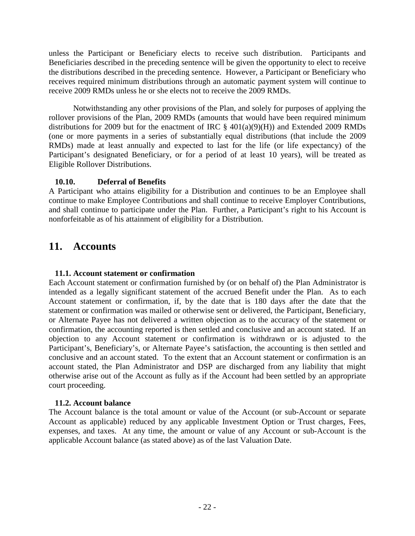unless the Participant or Beneficiary elects to receive such distribution. Participants and Beneficiaries described in the preceding sentence will be given the opportunity to elect to receive the distributions described in the preceding sentence. However, a Participant or Beneficiary who receives required minimum distributions through an automatic payment system will continue to receive 2009 RMDs unless he or she elects not to receive the 2009 RMDs.

Notwithstanding any other provisions of the Plan, and solely for purposes of applying the rollover provisions of the Plan, 2009 RMDs (amounts that would have been required minimum distributions for 2009 but for the enactment of IRC  $\S$  401(a)(9)(H)) and Extended 2009 RMDs (one or more payments in a series of substantially equal distributions (that include the 2009 RMDs) made at least annually and expected to last for the life (or life expectancy) of the Participant's designated Beneficiary, or for a period of at least 10 years), will be treated as Eligible Rollover Distributions.

### **10.10. Deferral of Benefits**

A Participant who attains eligibility for a Distribution and continues to be an Employee shall continue to make Employee Contributions and shall continue to receive Employer Contributions, and shall continue to participate under the Plan. Further, a Participant's right to his Account is nonforfeitable as of his attainment of eligibility for a Distribution.

## **11. Accounts**

### **11.1. Account statement or confirmation**

Each Account statement or confirmation furnished by (or on behalf of) the Plan Administrator is intended as a legally significant statement of the accrued Benefit under the Plan. As to each Account statement or confirmation, if, by the date that is 180 days after the date that the statement or confirmation was mailed or otherwise sent or delivered, the Participant, Beneficiary, or Alternate Payee has not delivered a written objection as to the accuracy of the statement or confirmation, the accounting reported is then settled and conclusive and an account stated. If an objection to any Account statement or confirmation is withdrawn or is adjusted to the Participant's, Beneficiary's, or Alternate Payee's satisfaction, the accounting is then settled and conclusive and an account stated. To the extent that an Account statement or confirmation is an account stated, the Plan Administrator and DSP are discharged from any liability that might otherwise arise out of the Account as fully as if the Account had been settled by an appropriate court proceeding.

#### **11.2. Account balance**

The Account balance is the total amount or value of the Account (or sub-Account or separate Account as applicable) reduced by any applicable Investment Option or Trust charges, Fees, expenses, and taxes. At any time, the amount or value of any Account or sub-Account is the applicable Account balance (as stated above) as of the last Valuation Date.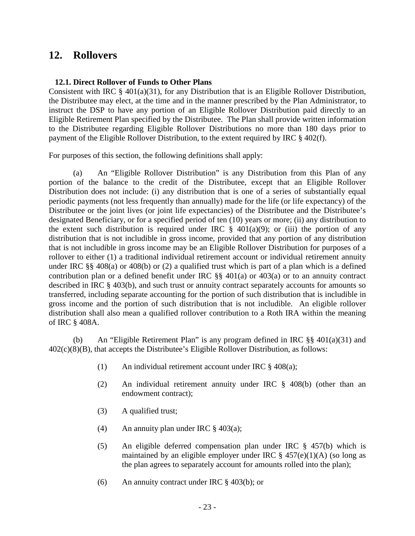## **12. Rollovers**

#### **12.1. Direct Rollover of Funds to Other Plans**

Consistent with IRC § 401(a)(31), for any Distribution that is an Eligible Rollover Distribution, the Distributee may elect, at the time and in the manner prescribed by the Plan Administrator, to instruct the DSP to have any portion of an Eligible Rollover Distribution paid directly to an Eligible Retirement Plan specified by the Distributee. The Plan shall provide written information to the Distributee regarding Eligible Rollover Distributions no more than 180 days prior to payment of the Eligible Rollover Distribution, to the extent required by IRC § 402(f).

For purposes of this section, the following definitions shall apply:

(a) An "Eligible Rollover Distribution" is any Distribution from this Plan of any portion of the balance to the credit of the Distributee, except that an Eligible Rollover Distribution does not include: (i) any distribution that is one of a series of substantially equal periodic payments (not less frequently than annually) made for the life (or life expectancy) of the Distributee or the joint lives (or joint life expectancies) of the Distributee and the Distributee's designated Beneficiary, or for a specified period of ten (10) years or more; (ii) any distribution to the extent such distribution is required under IRC  $\S$  401(a)(9); or (iii) the portion of any distribution that is not includible in gross income, provided that any portion of any distribution that is not includible in gross income may be an Eligible Rollover Distribution for purposes of a rollover to either (1) a traditional individual retirement account or individual retirement annuity under IRC §§ 408(a) or 408(b) or (2) a qualified trust which is part of a plan which is a defined contribution plan or a defined benefit under IRC  $\S$ ,  $401(a)$  or  $403(a)$  or to an annuity contract described in IRC § 403(b), and such trust or annuity contract separately accounts for amounts so transferred, including separate accounting for the portion of such distribution that is includible in gross income and the portion of such distribution that is not includible. An eligible rollover distribution shall also mean a qualified rollover contribution to a Roth IRA within the meaning of IRC § 408A.

(b) An "Eligible Retirement Plan" is any program defined in IRC §§ 401(a)(31) and 402(c)(8)(B), that accepts the Distributee's Eligible Rollover Distribution, as follows:

- (1) An individual retirement account under IRC § 408(a);
- (2) An individual retirement annuity under IRC § 408(b) (other than an endowment contract);
- (3) A qualified trust;
- (4) An annuity plan under IRC  $\frac{8}{9}$  403(a);
- (5) An eligible deferred compensation plan under IRC § 457(b) which is maintained by an eligible employer under IRC  $\S$  457(e)(1)(A) (so long as the plan agrees to separately account for amounts rolled into the plan);
- (6) An annuity contract under IRC § 403(b); or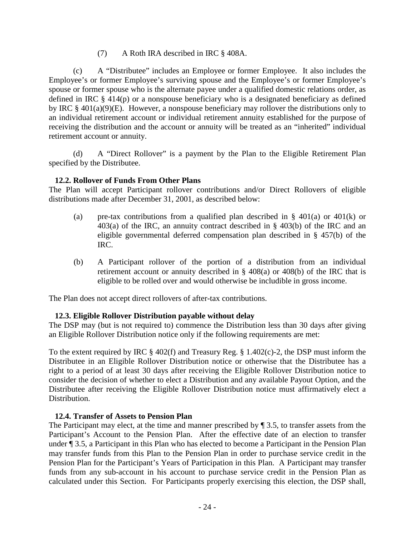(7) A Roth IRA described in IRC § 408A.

(c) A "Distributee" includes an Employee or former Employee. It also includes the Employee's or former Employee's surviving spouse and the Employee's or former Employee's spouse or former spouse who is the alternate payee under a qualified domestic relations order, as defined in IRC § 414(p) or a nonspouse beneficiary who is a designated beneficiary as defined by IRC § 401(a)(9)(E). However, a nonspouse beneficiary may rollover the distributions only to an individual retirement account or individual retirement annuity established for the purpose of receiving the distribution and the account or annuity will be treated as an "inherited" individual retirement account or annuity.

(d) A "Direct Rollover" is a payment by the Plan to the Eligible Retirement Plan specified by the Distributee.

### **12.2. Rollover of Funds From Other Plans**

The Plan will accept Participant rollover contributions and/or Direct Rollovers of eligible distributions made after December 31, 2001, as described below:

- (a) pre-tax contributions from a qualified plan described in § 401(a) or 401(k) or 403(a) of the IRC, an annuity contract described in § 403(b) of the IRC and an eligible governmental deferred compensation plan described in § 457(b) of the IRC.
- (b) A Participant rollover of the portion of a distribution from an individual retirement account or annuity described in § 408(a) or 408(b) of the IRC that is eligible to be rolled over and would otherwise be includible in gross income.

The Plan does not accept direct rollovers of after-tax contributions.

### **12.3. Eligible Rollover Distribution payable without delay**

The DSP may (but is not required to) commence the Distribution less than 30 days after giving an Eligible Rollover Distribution notice only if the following requirements are met:

To the extent required by IRC § 402(f) and Treasury Reg. § 1.402(c)-2, the DSP must inform the Distributee in an Eligible Rollover Distribution notice or otherwise that the Distributee has a right to a period of at least 30 days after receiving the Eligible Rollover Distribution notice to consider the decision of whether to elect a Distribution and any available Payout Option, and the Distributee after receiving the Eligible Rollover Distribution notice must affirmatively elect a Distribution.

#### **12.4. Transfer of Assets to Pension Plan**

The Participant may elect, at the time and manner prescribed by ¶ 3.5, to transfer assets from the Participant's Account to the Pension Plan. After the effective date of an election to transfer under ¶ 3.5, a Participant in this Plan who has elected to become a Participant in the Pension Plan may transfer funds from this Plan to the Pension Plan in order to purchase service credit in the Pension Plan for the Participant's Years of Participation in this Plan. A Participant may transfer funds from any sub-account in his account to purchase service credit in the Pension Plan as calculated under this Section. For Participants properly exercising this election, the DSP shall,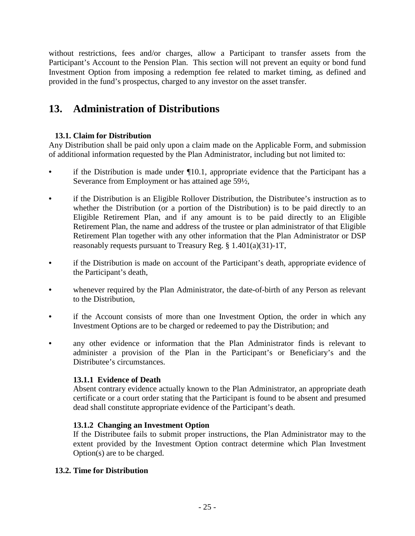without restrictions, fees and/or charges, allow a Participant to transfer assets from the Participant's Account to the Pension Plan. This section will not prevent an equity or bond fund Investment Option from imposing a redemption fee related to market timing, as defined and provided in the fund's prospectus, charged to any investor on the asset transfer.

# **13. Administration of Distributions**

### **13.1. Claim for Distribution**

Any Distribution shall be paid only upon a claim made on the Applicable Form, and submission of additional information requested by the Plan Administrator, including but not limited to:

- if the Distribution is made under  $\P$ 10.1, appropriate evidence that the Participant has a Severance from Employment or has attained age 59½,
- if the Distribution is an Eligible Rollover Distribution, the Distributee's instruction as to whether the Distribution (or a portion of the Distribution) is to be paid directly to an Eligible Retirement Plan, and if any amount is to be paid directly to an Eligible Retirement Plan, the name and address of the trustee or plan administrator of that Eligible Retirement Plan together with any other information that the Plan Administrator or DSP reasonably requests pursuant to Treasury Reg. § 1.401(a)(31)-1T,
- if the Distribution is made on account of the Participant's death, appropriate evidence of the Participant's death,
- whenever required by the Plan Administrator, the date-of-birth of any Person as relevant to the Distribution,
- if the Account consists of more than one Investment Option, the order in which any Investment Options are to be charged or redeemed to pay the Distribution; and
- any other evidence or information that the Plan Administrator finds is relevant to administer a provision of the Plan in the Participant's or Beneficiary's and the Distributee's circumstances.

### **13.1.1 Evidence of Death**

Absent contrary evidence actually known to the Plan Administrator, an appropriate death certificate or a court order stating that the Participant is found to be absent and presumed dead shall constitute appropriate evidence of the Participant's death.

### **13.1.2 Changing an Investment Option**

If the Distributee fails to submit proper instructions, the Plan Administrator may to the extent provided by the Investment Option contract determine which Plan Investment Option(s) are to be charged.

#### **13.2. Time for Distribution**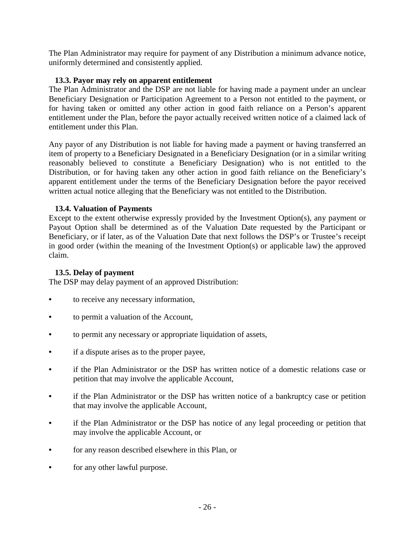The Plan Administrator may require for payment of any Distribution a minimum advance notice, uniformly determined and consistently applied.

#### **13.3. Payor may rely on apparent entitlement**

The Plan Administrator and the DSP are not liable for having made a payment under an unclear Beneficiary Designation or Participation Agreement to a Person not entitled to the payment, or for having taken or omitted any other action in good faith reliance on a Person's apparent entitlement under the Plan, before the payor actually received written notice of a claimed lack of entitlement under this Plan.

Any payor of any Distribution is not liable for having made a payment or having transferred an item of property to a Beneficiary Designated in a Beneficiary Designation (or in a similar writing reasonably believed to constitute a Beneficiary Designation) who is not entitled to the Distribution, or for having taken any other action in good faith reliance on the Beneficiary's apparent entitlement under the terms of the Beneficiary Designation before the payor received written actual notice alleging that the Beneficiary was not entitled to the Distribution.

#### **13.4. Valuation of Payments**

Except to the extent otherwise expressly provided by the Investment Option(s), any payment or Payout Option shall be determined as of the Valuation Date requested by the Participant or Beneficiary, or if later, as of the Valuation Date that next follows the DSP's or Trustee's receipt in good order (within the meaning of the Investment Option(s) or applicable law) the approved claim.

#### **13.5. Delay of payment**

The DSP may delay payment of an approved Distribution:

- to receive any necessary information,
- to permit a valuation of the Account,
- to permit any necessary or appropriate liquidation of assets,
- if a dispute arises as to the proper payee,
- if the Plan Administrator or the DSP has written notice of a domestic relations case or petition that may involve the applicable Account,
- if the Plan Administrator or the DSP has written notice of a bankruptcy case or petition that may involve the applicable Account,
- if the Plan Administrator or the DSP has notice of any legal proceeding or petition that may involve the applicable Account, or
- for any reason described elsewhere in this Plan, or
- for any other lawful purpose.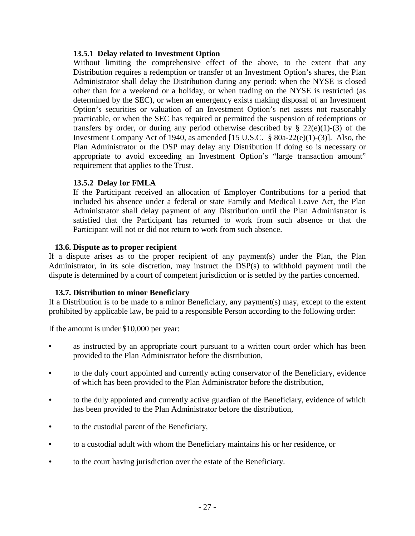#### **13.5.1 Delay related to Investment Option**

Without limiting the comprehensive effect of the above, to the extent that any Distribution requires a redemption or transfer of an Investment Option's shares, the Plan Administrator shall delay the Distribution during any period: when the NYSE is closed other than for a weekend or a holiday, or when trading on the NYSE is restricted (as determined by the SEC), or when an emergency exists making disposal of an Investment Option's securities or valuation of an Investment Option's net assets not reasonably practicable, or when the SEC has required or permitted the suspension of redemptions or transfers by order, or during any period otherwise described by  $\S$  22(e)(1)-(3) of the Investment Company Act of 1940, as amended [15 U.S.C. § 80a-22(e)(1)-(3)]. Also, the Plan Administrator or the DSP may delay any Distribution if doing so is necessary or appropriate to avoid exceeding an Investment Option's "large transaction amount" requirement that applies to the Trust.

### **13.5.2 Delay for FMLA**

If the Participant received an allocation of Employer Contributions for a period that included his absence under a federal or state Family and Medical Leave Act, the Plan Administrator shall delay payment of any Distribution until the Plan Administrator is satisfied that the Participant has returned to work from such absence or that the Participant will not or did not return to work from such absence.

#### **13.6. Dispute as to proper recipient**

If a dispute arises as to the proper recipient of any payment(s) under the Plan, the Plan Administrator, in its sole discretion, may instruct the DSP(s) to withhold payment until the dispute is determined by a court of competent jurisdiction or is settled by the parties concerned.

### **13.7. Distribution to minor Beneficiary**

If a Distribution is to be made to a minor Beneficiary, any payment(s) may, except to the extent prohibited by applicable law, be paid to a responsible Person according to the following order:

If the amount is under \$10,000 per year:

- as instructed by an appropriate court pursuant to a written court order which has been provided to the Plan Administrator before the distribution,
- to the duly court appointed and currently acting conservator of the Beneficiary, evidence of which has been provided to the Plan Administrator before the distribution,
- to the duly appointed and currently active guardian of the Beneficiary, evidence of which has been provided to the Plan Administrator before the distribution,
- to the custodial parent of the Beneficiary,
- to a custodial adult with whom the Beneficiary maintains his or her residence, or
- to the court having jurisdiction over the estate of the Beneficiary.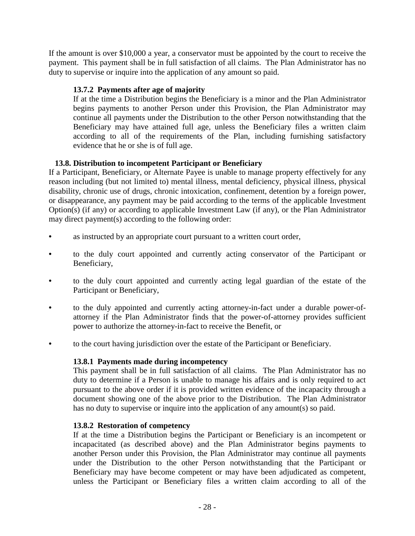If the amount is over \$10,000 a year, a conservator must be appointed by the court to receive the payment. This payment shall be in full satisfaction of all claims. The Plan Administrator has no duty to supervise or inquire into the application of any amount so paid.

### **13.7.2 Payments after age of majority**

If at the time a Distribution begins the Beneficiary is a minor and the Plan Administrator begins payments to another Person under this Provision, the Plan Administrator may continue all payments under the Distribution to the other Person notwithstanding that the Beneficiary may have attained full age, unless the Beneficiary files a written claim according to all of the requirements of the Plan, including furnishing satisfactory evidence that he or she is of full age.

### **13.8. Distribution to incompetent Participant or Beneficiary**

If a Participant, Beneficiary, or Alternate Payee is unable to manage property effectively for any reason including (but not limited to) mental illness, mental deficiency, physical illness, physical disability, chronic use of drugs, chronic intoxication, confinement, detention by a foreign power, or disappearance, any payment may be paid according to the terms of the applicable Investment Option(s) (if any) or according to applicable Investment Law (if any), or the Plan Administrator may direct payment(s) according to the following order:

- as instructed by an appropriate court pursuant to a written court order,
- to the duly court appointed and currently acting conservator of the Participant or Beneficiary,
- to the duly court appointed and currently acting legal guardian of the estate of the Participant or Beneficiary,
- to the duly appointed and currently acting attorney-in-fact under a durable power-ofattorney if the Plan Administrator finds that the power-of-attorney provides sufficient power to authorize the attorney-in-fact to receive the Benefit, or
- to the court having jurisdiction over the estate of the Participant or Beneficiary.

#### **13.8.1 Payments made during incompetency**

This payment shall be in full satisfaction of all claims. The Plan Administrator has no duty to determine if a Person is unable to manage his affairs and is only required to act pursuant to the above order if it is provided written evidence of the incapacity through a document showing one of the above prior to the Distribution. The Plan Administrator has no duty to supervise or inquire into the application of any amount(s) so paid.

#### **13.8.2 Restoration of competency**

If at the time a Distribution begins the Participant or Beneficiary is an incompetent or incapacitated (as described above) and the Plan Administrator begins payments to another Person under this Provision, the Plan Administrator may continue all payments under the Distribution to the other Person notwithstanding that the Participant or Beneficiary may have become competent or may have been adjudicated as competent, unless the Participant or Beneficiary files a written claim according to all of the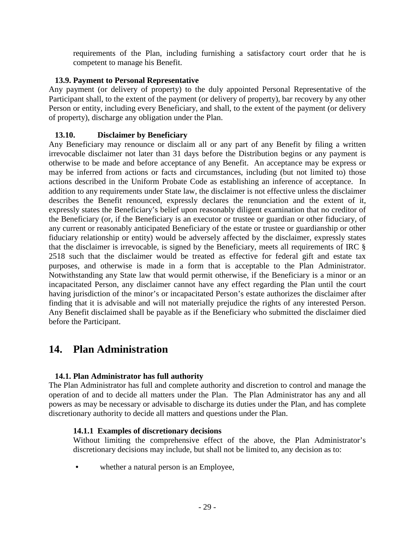requirements of the Plan, including furnishing a satisfactory court order that he is competent to manage his Benefit.

#### **13.9. Payment to Personal Representative**

Any payment (or delivery of property) to the duly appointed Personal Representative of the Participant shall, to the extent of the payment (or delivery of property), bar recovery by any other Person or entity, including every Beneficiary, and shall, to the extent of the payment (or delivery of property), discharge any obligation under the Plan.

#### **13.10. Disclaimer by Beneficiary**

Any Beneficiary may renounce or disclaim all or any part of any Benefit by filing a written irrevocable disclaimer not later than 31 days before the Distribution begins or any payment is otherwise to be made and before acceptance of any Benefit. An acceptance may be express or may be inferred from actions or facts and circumstances, including (but not limited to) those actions described in the Uniform Probate Code as establishing an inference of acceptance. In addition to any requirements under State law, the disclaimer is not effective unless the disclaimer describes the Benefit renounced, expressly declares the renunciation and the extent of it, expressly states the Beneficiary's belief upon reasonably diligent examination that no creditor of the Beneficiary (or, if the Beneficiary is an executor or trustee or guardian or other fiduciary, of any current or reasonably anticipated Beneficiary of the estate or trustee or guardianship or other fiduciary relationship or entity) would be adversely affected by the disclaimer, expressly states that the disclaimer is irrevocable, is signed by the Beneficiary, meets all requirements of IRC § 2518 such that the disclaimer would be treated as effective for federal gift and estate tax purposes, and otherwise is made in a form that is acceptable to the Plan Administrator. Notwithstanding any State law that would permit otherwise, if the Beneficiary is a minor or an incapacitated Person, any disclaimer cannot have any effect regarding the Plan until the court having jurisdiction of the minor's or incapacitated Person's estate authorizes the disclaimer after finding that it is advisable and will not materially prejudice the rights of any interested Person. Any Benefit disclaimed shall be payable as if the Beneficiary who submitted the disclaimer died before the Participant.

## **14. Plan Administration**

#### **14.1. Plan Administrator has full authority**

The Plan Administrator has full and complete authority and discretion to control and manage the operation of and to decide all matters under the Plan. The Plan Administrator has any and all powers as may be necessary or advisable to discharge its duties under the Plan, and has complete discretionary authority to decide all matters and questions under the Plan.

#### **14.1.1 Examples of discretionary decisions**

Without limiting the comprehensive effect of the above, the Plan Administrator's discretionary decisions may include, but shall not be limited to, any decision as to:

whether a natural person is an Employee,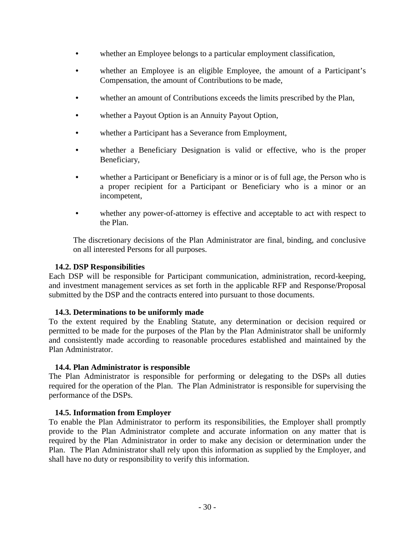- whether an Employee belongs to a particular employment classification,
- whether an Employee is an eligible Employee, the amount of a Participant's Compensation, the amount of Contributions to be made,
- whether an amount of Contributions exceeds the limits prescribed by the Plan,
- whether a Payout Option is an Annuity Payout Option,
- whether a Participant has a Severance from Employment,
- whether a Beneficiary Designation is valid or effective, who is the proper Beneficiary,
- whether a Participant or Beneficiary is a minor or is of full age, the Person who is a proper recipient for a Participant or Beneficiary who is a minor or an incompetent,
- whether any power-of-attorney is effective and acceptable to act with respect to the Plan.

The discretionary decisions of the Plan Administrator are final, binding, and conclusive on all interested Persons for all purposes.

#### **14.2. DSP Responsibilities**

Each DSP will be responsible for Participant communication, administration, record-keeping, and investment management services as set forth in the applicable RFP and Response/Proposal submitted by the DSP and the contracts entered into pursuant to those documents.

#### **14.3. Determinations to be uniformly made**

To the extent required by the Enabling Statute, any determination or decision required or permitted to be made for the purposes of the Plan by the Plan Administrator shall be uniformly and consistently made according to reasonable procedures established and maintained by the Plan Administrator.

#### **14.4. Plan Administrator is responsible**

The Plan Administrator is responsible for performing or delegating to the DSPs all duties required for the operation of the Plan. The Plan Administrator is responsible for supervising the performance of the DSPs.

#### **14.5. Information from Employer**

To enable the Plan Administrator to perform its responsibilities, the Employer shall promptly provide to the Plan Administrator complete and accurate information on any matter that is required by the Plan Administrator in order to make any decision or determination under the Plan. The Plan Administrator shall rely upon this information as supplied by the Employer, and shall have no duty or responsibility to verify this information.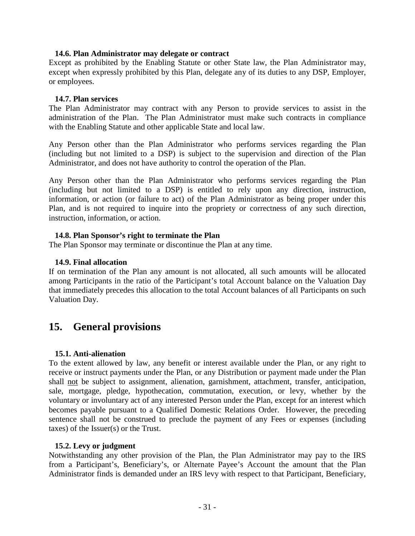#### **14.6. Plan Administrator may delegate or contract**

Except as prohibited by the Enabling Statute or other State law, the Plan Administrator may, except when expressly prohibited by this Plan, delegate any of its duties to any DSP, Employer, or employees.

#### **14.7. Plan services**

The Plan Administrator may contract with any Person to provide services to assist in the administration of the Plan. The Plan Administrator must make such contracts in compliance with the Enabling Statute and other applicable State and local law.

Any Person other than the Plan Administrator who performs services regarding the Plan (including but not limited to a DSP) is subject to the supervision and direction of the Plan Administrator, and does not have authority to control the operation of the Plan.

Any Person other than the Plan Administrator who performs services regarding the Plan (including but not limited to a DSP) is entitled to rely upon any direction, instruction, information, or action (or failure to act) of the Plan Administrator as being proper under this Plan, and is not required to inquire into the propriety or correctness of any such direction, instruction, information, or action.

#### **14.8. Plan Sponsor's right to terminate the Plan**

The Plan Sponsor may terminate or discontinue the Plan at any time.

#### **14.9. Final allocation**

If on termination of the Plan any amount is not allocated, all such amounts will be allocated among Participants in the ratio of the Participant's total Account balance on the Valuation Day that immediately precedes this allocation to the total Account balances of all Participants on such Valuation Day.

## **15. General provisions**

#### **15.1. Anti-alienation**

To the extent allowed by law, any benefit or interest available under the Plan, or any right to receive or instruct payments under the Plan, or any Distribution or payment made under the Plan shall not be subject to assignment, alienation, garnishment, attachment, transfer, anticipation, sale, mortgage, pledge, hypothecation, commutation, execution, or levy, whether by the voluntary or involuntary act of any interested Person under the Plan, except for an interest which becomes payable pursuant to a Qualified Domestic Relations Order. However, the preceding sentence shall not be construed to preclude the payment of any Fees or expenses (including taxes) of the Issuer(s) or the Trust.

#### **15.2. Levy or judgment**

Notwithstanding any other provision of the Plan, the Plan Administrator may pay to the IRS from a Participant's, Beneficiary's, or Alternate Payee's Account the amount that the Plan Administrator finds is demanded under an IRS levy with respect to that Participant, Beneficiary,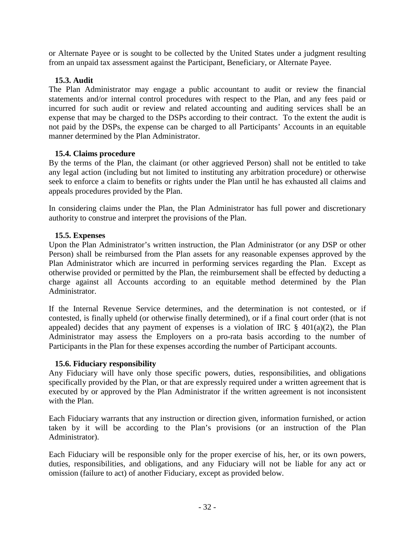or Alternate Payee or is sought to be collected by the United States under a judgment resulting from an unpaid tax assessment against the Participant, Beneficiary, or Alternate Payee.

#### **15.3. Audit**

The Plan Administrator may engage a public accountant to audit or review the financial statements and/or internal control procedures with respect to the Plan, and any fees paid or incurred for such audit or review and related accounting and auditing services shall be an expense that may be charged to the DSPs according to their contract. To the extent the audit is not paid by the DSPs, the expense can be charged to all Participants' Accounts in an equitable manner determined by the Plan Administrator.

#### **15.4. Claims procedure**

By the terms of the Plan, the claimant (or other aggrieved Person) shall not be entitled to take any legal action (including but not limited to instituting any arbitration procedure) or otherwise seek to enforce a claim to benefits or rights under the Plan until he has exhausted all claims and appeals procedures provided by the Plan.

In considering claims under the Plan, the Plan Administrator has full power and discretionary authority to construe and interpret the provisions of the Plan.

#### **15.5. Expenses**

Upon the Plan Administrator's written instruction, the Plan Administrator (or any DSP or other Person) shall be reimbursed from the Plan assets for any reasonable expenses approved by the Plan Administrator which are incurred in performing services regarding the Plan. Except as otherwise provided or permitted by the Plan, the reimbursement shall be effected by deducting a charge against all Accounts according to an equitable method determined by the Plan Administrator.

If the Internal Revenue Service determines, and the determination is not contested, or if contested, is finally upheld (or otherwise finally determined), or if a final court order (that is not appealed) decides that any payment of expenses is a violation of IRC  $\S$  401(a)(2), the Plan Administrator may assess the Employers on a pro-rata basis according to the number of Participants in the Plan for these expenses according the number of Participant accounts.

#### **15.6. Fiduciary responsibility**

Any Fiduciary will have only those specific powers, duties, responsibilities, and obligations specifically provided by the Plan, or that are expressly required under a written agreement that is executed by or approved by the Plan Administrator if the written agreement is not inconsistent with the Plan.

Each Fiduciary warrants that any instruction or direction given, information furnished, or action taken by it will be according to the Plan's provisions (or an instruction of the Plan Administrator).

Each Fiduciary will be responsible only for the proper exercise of his, her, or its own powers, duties, responsibilities, and obligations, and any Fiduciary will not be liable for any act or omission (failure to act) of another Fiduciary, except as provided below.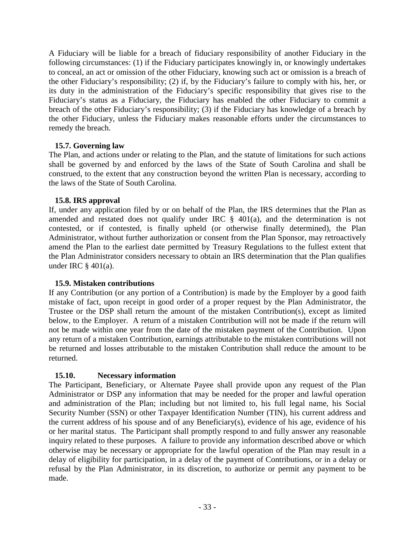A Fiduciary will be liable for a breach of fiduciary responsibility of another Fiduciary in the following circumstances: (1) if the Fiduciary participates knowingly in, or knowingly undertakes to conceal, an act or omission of the other Fiduciary, knowing such act or omission is a breach of the other Fiduciary's responsibility; (2) if, by the Fiduciary's failure to comply with his, her, or its duty in the administration of the Fiduciary's specific responsibility that gives rise to the Fiduciary's status as a Fiduciary, the Fiduciary has enabled the other Fiduciary to commit a breach of the other Fiduciary's responsibility; (3) if the Fiduciary has knowledge of a breach by the other Fiduciary, unless the Fiduciary makes reasonable efforts under the circumstances to remedy the breach.

#### **15.7. Governing law**

The Plan, and actions under or relating to the Plan, and the statute of limitations for such actions shall be governed by and enforced by the laws of the State of South Carolina and shall be construed, to the extent that any construction beyond the written Plan is necessary, according to the laws of the State of South Carolina.

### **15.8. IRS approval**

If, under any application filed by or on behalf of the Plan, the IRS determines that the Plan as amended and restated does not qualify under IRC § 401(a), and the determination is not contested, or if contested, is finally upheld (or otherwise finally determined), the Plan Administrator, without further authorization or consent from the Plan Sponsor, may retroactively amend the Plan to the earliest date permitted by Treasury Regulations to the fullest extent that the Plan Administrator considers necessary to obtain an IRS determination that the Plan qualifies under IRC § 401(a).

#### **15.9. Mistaken contributions**

If any Contribution (or any portion of a Contribution) is made by the Employer by a good faith mistake of fact, upon receipt in good order of a proper request by the Plan Administrator, the Trustee or the DSP shall return the amount of the mistaken Contribution(s), except as limited below, to the Employer. A return of a mistaken Contribution will not be made if the return will not be made within one year from the date of the mistaken payment of the Contribution. Upon any return of a mistaken Contribution, earnings attributable to the mistaken contributions will not be returned and losses attributable to the mistaken Contribution shall reduce the amount to be returned.

### **15.10. Necessary information**

The Participant, Beneficiary, or Alternate Payee shall provide upon any request of the Plan Administrator or DSP any information that may be needed for the proper and lawful operation and administration of the Plan; including but not limited to, his full legal name, his Social Security Number (SSN) or other Taxpayer Identification Number (TIN), his current address and the current address of his spouse and of any Beneficiary(s), evidence of his age, evidence of his or her marital status. The Participant shall promptly respond to and fully answer any reasonable inquiry related to these purposes. A failure to provide any information described above or which otherwise may be necessary or appropriate for the lawful operation of the Plan may result in a delay of eligibility for participation, in a delay of the payment of Contributions, or in a delay or refusal by the Plan Administrator, in its discretion, to authorize or permit any payment to be made.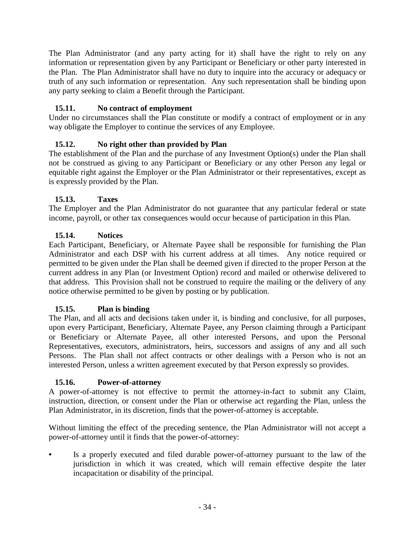The Plan Administrator (and any party acting for it) shall have the right to rely on any information or representation given by any Participant or Beneficiary or other party interested in the Plan. The Plan Administrator shall have no duty to inquire into the accuracy or adequacy or truth of any such information or representation. Any such representation shall be binding upon any party seeking to claim a Benefit through the Participant.

### **15.11. No contract of employment**

Under no circumstances shall the Plan constitute or modify a contract of employment or in any way obligate the Employer to continue the services of any Employee.

### **15.12. No right other than provided by Plan**

The establishment of the Plan and the purchase of any Investment Option(s) under the Plan shall not be construed as giving to any Participant or Beneficiary or any other Person any legal or equitable right against the Employer or the Plan Administrator or their representatives, except as is expressly provided by the Plan.

### **15.13. Taxes**

The Employer and the Plan Administrator do not guarantee that any particular federal or state income, payroll, or other tax consequences would occur because of participation in this Plan.

### **15.14. Notices**

Each Participant, Beneficiary, or Alternate Payee shall be responsible for furnishing the Plan Administrator and each DSP with his current address at all times. Any notice required or permitted to be given under the Plan shall be deemed given if directed to the proper Person at the current address in any Plan (or Investment Option) record and mailed or otherwise delivered to that address. This Provision shall not be construed to require the mailing or the delivery of any notice otherwise permitted to be given by posting or by publication.

### **15.15. Plan is binding**

The Plan, and all acts and decisions taken under it, is binding and conclusive, for all purposes, upon every Participant, Beneficiary, Alternate Payee, any Person claiming through a Participant or Beneficiary or Alternate Payee, all other interested Persons, and upon the Personal Representatives, executors, administrators, heirs, successors and assigns of any and all such Persons. The Plan shall not affect contracts or other dealings with a Person who is not an interested Person, unless a written agreement executed by that Person expressly so provides.

### **15.16. Power-of-attorney**

A power-of-attorney is not effective to permit the attorney-in-fact to submit any Claim, instruction, direction, or consent under the Plan or otherwise act regarding the Plan, unless the Plan Administrator, in its discretion, finds that the power-of-attorney is acceptable.

Without limiting the effect of the preceding sentence, the Plan Administrator will not accept a power-of-attorney until it finds that the power-of-attorney:

Is a properly executed and filed durable power-of-attorney pursuant to the law of the jurisdiction in which it was created, which will remain effective despite the later incapacitation or disability of the principal.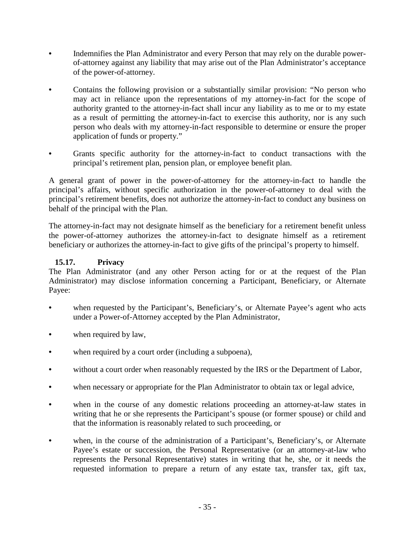- Indemnifies the Plan Administrator and every Person that may rely on the durable powerof-attorney against any liability that may arise out of the Plan Administrator's acceptance of the power-of-attorney.
- Contains the following provision or a substantially similar provision: "No person who may act in reliance upon the representations of my attorney-in-fact for the scope of authority granted to the attorney-in-fact shall incur any liability as to me or to my estate as a result of permitting the attorney-in-fact to exercise this authority, nor is any such person who deals with my attorney-in-fact responsible to determine or ensure the proper application of funds or property."
- Grants specific authority for the attorney-in-fact to conduct transactions with the principal's retirement plan, pension plan, or employee benefit plan.

A general grant of power in the power-of-attorney for the attorney-in-fact to handle the principal's affairs, without specific authorization in the power-of-attorney to deal with the principal's retirement benefits, does not authorize the attorney-in-fact to conduct any business on behalf of the principal with the Plan.

The attorney-in-fact may not designate himself as the beneficiary for a retirement benefit unless the power-of-attorney authorizes the attorney-in-fact to designate himself as a retirement beneficiary or authorizes the attorney-in-fact to give gifts of the principal's property to himself.

### **15.17. Privacy**

The Plan Administrator (and any other Person acting for or at the request of the Plan Administrator) may disclose information concerning a Participant, Beneficiary, or Alternate Payee:

- when requested by the Participant's, Beneficiary's, or Alternate Payee's agent who acts under a Power-of-Attorney accepted by the Plan Administrator,
- when required by law,
- when required by a court order (including a subpoena),
- without a court order when reasonably requested by the IRS or the Department of Labor,
- when necessary or appropriate for the Plan Administrator to obtain tax or legal advice,
- when in the course of any domestic relations proceeding an attorney-at-law states in writing that he or she represents the Participant's spouse (or former spouse) or child and that the information is reasonably related to such proceeding, or
- when, in the course of the administration of a Participant's, Beneficiary's, or Alternate Payee's estate or succession, the Personal Representative (or an attorney-at-law who represents the Personal Representative) states in writing that he, she, or it needs the requested information to prepare a return of any estate tax, transfer tax, gift tax,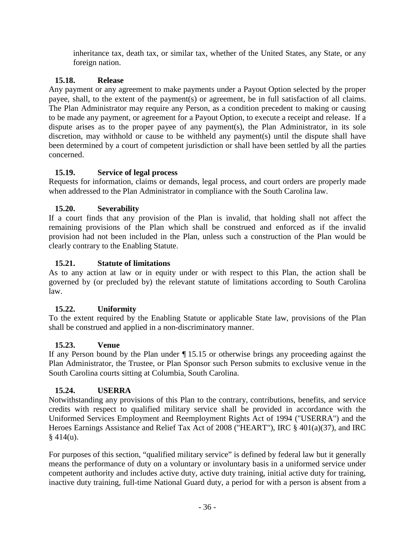inheritance tax, death tax, or similar tax, whether of the United States, any State, or any foreign nation.

### **15.18. Release**

Any payment or any agreement to make payments under a Payout Option selected by the proper payee, shall, to the extent of the payment(s) or agreement, be in full satisfaction of all claims. The Plan Administrator may require any Person, as a condition precedent to making or causing to be made any payment, or agreement for a Payout Option, to execute a receipt and release. If a dispute arises as to the proper payee of any payment(s), the Plan Administrator, in its sole discretion, may withhold or cause to be withheld any payment(s) until the dispute shall have been determined by a court of competent jurisdiction or shall have been settled by all the parties concerned.

### **15.19. Service of legal process**

Requests for information, claims or demands, legal process, and court orders are properly made when addressed to the Plan Administrator in compliance with the South Carolina law.

### **15.20. Severability**

If a court finds that any provision of the Plan is invalid, that holding shall not affect the remaining provisions of the Plan which shall be construed and enforced as if the invalid provision had not been included in the Plan, unless such a construction of the Plan would be clearly contrary to the Enabling Statute.

### **15.21. Statute of limitations**

As to any action at law or in equity under or with respect to this Plan, the action shall be governed by (or precluded by) the relevant statute of limitations according to South Carolina law.

### **15.22. Uniformity**

To the extent required by the Enabling Statute or applicable State law, provisions of the Plan shall be construed and applied in a non-discriminatory manner.

### **15.23. Venue**

If any Person bound by the Plan under ¶ 15.15 or otherwise brings any proceeding against the Plan Administrator, the Trustee, or Plan Sponsor such Person submits to exclusive venue in the South Carolina courts sitting at Columbia, South Carolina.

### **15.24. USERRA**

Notwithstanding any provisions of this Plan to the contrary, contributions, benefits, and service credits with respect to qualified military service shall be provided in accordance with the Uniformed Services Employment and Reemployment Rights Act of 1994 ("USERRA") and the Heroes Earnings Assistance and Relief Tax Act of 2008 ("HEART"), IRC § 401(a)(37), and IRC  $§$  414(u).

For purposes of this section, "qualified military service" is defined by federal law but it generally means the performance of duty on a voluntary or involuntary basis in a uniformed service under competent authority and includes active duty, active duty training, initial active duty for training, inactive duty training, full-time National Guard duty, a period for with a person is absent from a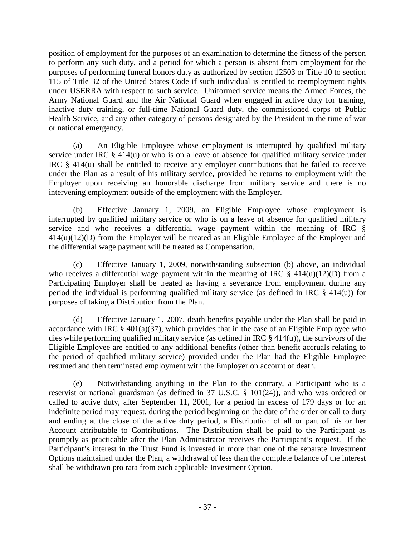position of employment for the purposes of an examination to determine the fitness of the person to perform any such duty, and a period for which a person is absent from employment for the purposes of performing funeral honors duty as authorized by section 12503 or Title 10 to section 115 of Title 32 of the United States Code if such individual is entitled to reemployment rights under USERRA with respect to such service. Uniformed service means the Armed Forces, the Army National Guard and the Air National Guard when engaged in active duty for training, inactive duty training, or full-time National Guard duty, the commissioned corps of Public Health Service, and any other category of persons designated by the President in the time of war or national emergency.

(a) An Eligible Employee whose employment is interrupted by qualified military service under IRC § 414(u) or who is on a leave of absence for qualified military service under IRC § 414(u) shall be entitled to receive any employer contributions that he failed to receive under the Plan as a result of his military service, provided he returns to employment with the Employer upon receiving an honorable discharge from military service and there is no intervening employment outside of the employment with the Employer.

(b) Effective January 1, 2009, an Eligible Employee whose employment is interrupted by qualified military service or who is on a leave of absence for qualified military service and who receives a differential wage payment within the meaning of IRC § 414(u)(12)(D) from the Employer will be treated as an Eligible Employee of the Employer and the differential wage payment will be treated as Compensation.

(c) Effective January 1, 2009, notwithstanding subsection (b) above, an individual who receives a differential wage payment within the meaning of IRC  $\S$  414(u)(12)(D) from a Participating Employer shall be treated as having a severance from employment during any period the individual is performing qualified military service (as defined in IRC  $\S$  414(u)) for purposes of taking a Distribution from the Plan.

(d) Effective January 1, 2007, death benefits payable under the Plan shall be paid in accordance with IRC  $\S$  401(a)(37), which provides that in the case of an Eligible Employee who dies while performing qualified military service (as defined in IRC § 414(u)), the survivors of the Eligible Employee are entitled to any additional benefits (other than benefit accruals relating to the period of qualified military service) provided under the Plan had the Eligible Employee resumed and then terminated employment with the Employer on account of death.

Notwithstanding anything in the Plan to the contrary, a Participant who is a reservist or national guardsman (as defined in 37 U.S.C. § 101(24)), and who was ordered or called to active duty, after September 11, 2001, for a period in excess of 179 days or for an indefinite period may request, during the period beginning on the date of the order or call to duty and ending at the close of the active duty period, a Distribution of all or part of his or her Account attributable to Contributions. The Distribution shall be paid to the Participant as promptly as practicable after the Plan Administrator receives the Participant's request. If the Participant's interest in the Trust Fund is invested in more than one of the separate Investment Options maintained under the Plan, a withdrawal of less than the complete balance of the interest shall be withdrawn pro rata from each applicable Investment Option.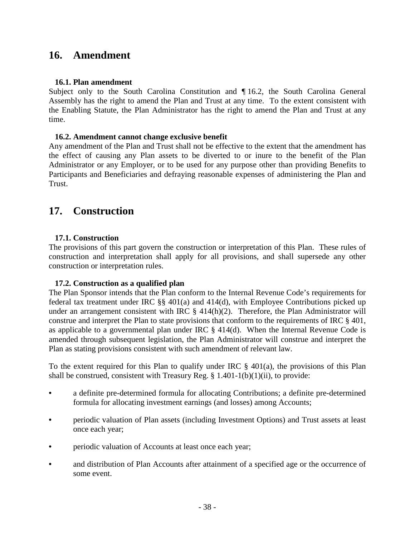## **16. Amendment**

#### **16.1. Plan amendment**

Subject only to the South Carolina Constitution and ¶ 16.2, the South Carolina General Assembly has the right to amend the Plan and Trust at any time. To the extent consistent with the Enabling Statute, the Plan Administrator has the right to amend the Plan and Trust at any time.

#### **16.2. Amendment cannot change exclusive benefit**

Any amendment of the Plan and Trust shall not be effective to the extent that the amendment has the effect of causing any Plan assets to be diverted to or inure to the benefit of the Plan Administrator or any Employer, or to be used for any purpose other than providing Benefits to Participants and Beneficiaries and defraying reasonable expenses of administering the Plan and Trust.

## **17. Construction**

#### **17.1. Construction**

The provisions of this part govern the construction or interpretation of this Plan. These rules of construction and interpretation shall apply for all provisions, and shall supersede any other construction or interpretation rules.

#### **17.2. Construction as a qualified plan**

The Plan Sponsor intends that the Plan conform to the Internal Revenue Code's requirements for federal tax treatment under IRC §§ 401(a) and 414(d), with Employee Contributions picked up under an arrangement consistent with IRC § 414(h)(2). Therefore, the Plan Administrator will construe and interpret the Plan to state provisions that conform to the requirements of IRC § 401, as applicable to a governmental plan under IRC § 414(d). When the Internal Revenue Code is amended through subsequent legislation, the Plan Administrator will construe and interpret the Plan as stating provisions consistent with such amendment of relevant law.

To the extent required for this Plan to qualify under IRC  $\S$  401(a), the provisions of this Plan shall be construed, consistent with Treasury Reg.  $\S$  1.401-1(b)(1)(ii), to provide:

- a definite pre-determined formula for allocating Contributions; a definite pre-determined formula for allocating investment earnings (and losses) among Accounts;
- periodic valuation of Plan assets (including Investment Options) and Trust assets at least once each year;
- periodic valuation of Accounts at least once each year;
- and distribution of Plan Accounts after attainment of a specified age or the occurrence of some event.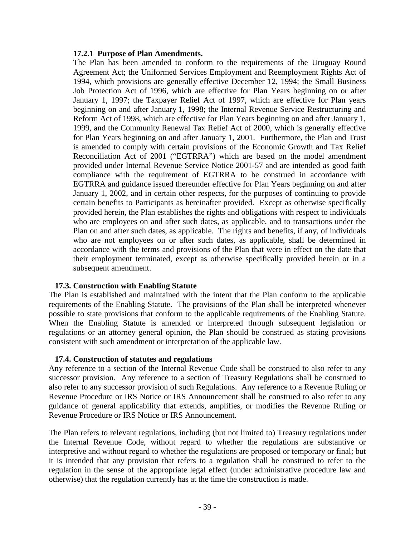#### **17.2.1 Purpose of Plan Amendments.**

The Plan has been amended to conform to the requirements of the Uruguay Round Agreement Act; the Uniformed Services Employment and Reemployment Rights Act of 1994, which provisions are generally effective December 12, 1994; the Small Business Job Protection Act of 1996, which are effective for Plan Years beginning on or after January 1, 1997; the Taxpayer Relief Act of 1997, which are effective for Plan years beginning on and after January 1, 1998; the Internal Revenue Service Restructuring and Reform Act of 1998, which are effective for Plan Years beginning on and after January 1, 1999, and the Community Renewal Tax Relief Act of 2000, which is generally effective for Plan Years beginning on and after January 1, 2001. Furthermore, the Plan and Trust is amended to comply with certain provisions of the Economic Growth and Tax Relief Reconciliation Act of 2001 ("EGTRRA") which are based on the model amendment provided under Internal Revenue Service Notice 2001-57 and are intended as good faith compliance with the requirement of EGTRRA to be construed in accordance with EGTRRA and guidance issued thereunder effective for Plan Years beginning on and after January 1, 2002, and in certain other respects, for the purposes of continuing to provide certain benefits to Participants as hereinafter provided. Except as otherwise specifically provided herein, the Plan establishes the rights and obligations with respect to individuals who are employees on and after such dates, as applicable, and to transactions under the Plan on and after such dates, as applicable. The rights and benefits, if any, of individuals who are not employees on or after such dates, as applicable, shall be determined in accordance with the terms and provisions of the Plan that were in effect on the date that their employment terminated, except as otherwise specifically provided herein or in a subsequent amendment.

#### **17.3. Construction with Enabling Statute**

The Plan is established and maintained with the intent that the Plan conform to the applicable requirements of the Enabling Statute. The provisions of the Plan shall be interpreted whenever possible to state provisions that conform to the applicable requirements of the Enabling Statute. When the Enabling Statute is amended or interpreted through subsequent legislation or regulations or an attorney general opinion, the Plan should be construed as stating provisions consistent with such amendment or interpretation of the applicable law.

#### **17.4. Construction of statutes and regulations**

Any reference to a section of the Internal Revenue Code shall be construed to also refer to any successor provision. Any reference to a section of Treasury Regulations shall be construed to also refer to any successor provision of such Regulations. Any reference to a Revenue Ruling or Revenue Procedure or IRS Notice or IRS Announcement shall be construed to also refer to any guidance of general applicability that extends, amplifies, or modifies the Revenue Ruling or Revenue Procedure or IRS Notice or IRS Announcement.

The Plan refers to relevant regulations, including (but not limited to) Treasury regulations under the Internal Revenue Code, without regard to whether the regulations are substantive or interpretive and without regard to whether the regulations are proposed or temporary or final; but it is intended that any provision that refers to a regulation shall be construed to refer to the regulation in the sense of the appropriate legal effect (under administrative procedure law and otherwise) that the regulation currently has at the time the construction is made.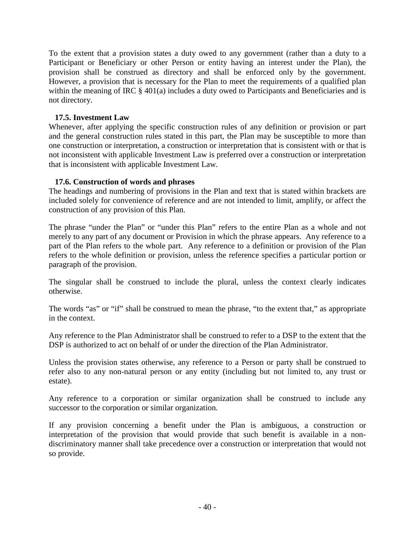To the extent that a provision states a duty owed to any government (rather than a duty to a Participant or Beneficiary or other Person or entity having an interest under the Plan), the provision shall be construed as directory and shall be enforced only by the government. However, a provision that is necessary for the Plan to meet the requirements of a qualified plan within the meaning of IRC  $\S$  401(a) includes a duty owed to Participants and Beneficiaries and is not directory.

#### **17.5. Investment Law**

Whenever, after applying the specific construction rules of any definition or provision or part and the general construction rules stated in this part, the Plan may be susceptible to more than one construction or interpretation, a construction or interpretation that is consistent with or that is not inconsistent with applicable Investment Law is preferred over a construction or interpretation that is inconsistent with applicable Investment Law.

#### **17.6. Construction of words and phrases**

The headings and numbering of provisions in the Plan and text that is stated within brackets are included solely for convenience of reference and are not intended to limit, amplify, or affect the construction of any provision of this Plan.

The phrase "under the Plan" or "under this Plan" refers to the entire Plan as a whole and not merely to any part of any document or Provision in which the phrase appears. Any reference to a part of the Plan refers to the whole part. Any reference to a definition or provision of the Plan refers to the whole definition or provision, unless the reference specifies a particular portion or paragraph of the provision.

The singular shall be construed to include the plural, unless the context clearly indicates otherwise.

The words "as" or "if" shall be construed to mean the phrase, "to the extent that," as appropriate in the context.

Any reference to the Plan Administrator shall be construed to refer to a DSP to the extent that the DSP is authorized to act on behalf of or under the direction of the Plan Administrator.

Unless the provision states otherwise, any reference to a Person or party shall be construed to refer also to any non-natural person or any entity (including but not limited to, any trust or estate).

Any reference to a corporation or similar organization shall be construed to include any successor to the corporation or similar organization.

If any provision concerning a benefit under the Plan is ambiguous, a construction or interpretation of the provision that would provide that such benefit is available in a nondiscriminatory manner shall take precedence over a construction or interpretation that would not so provide.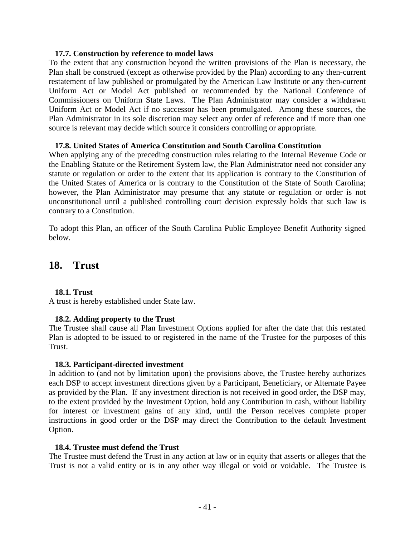#### **17.7. Construction by reference to model laws**

To the extent that any construction beyond the written provisions of the Plan is necessary, the Plan shall be construed (except as otherwise provided by the Plan) according to any then-current restatement of law published or promulgated by the American Law Institute or any then-current Uniform Act or Model Act published or recommended by the National Conference of Commissioners on Uniform State Laws. The Plan Administrator may consider a withdrawn Uniform Act or Model Act if no successor has been promulgated. Among these sources, the Plan Administrator in its sole discretion may select any order of reference and if more than one source is relevant may decide which source it considers controlling or appropriate.

#### **17.8. United States of America Constitution and South Carolina Constitution**

When applying any of the preceding construction rules relating to the Internal Revenue Code or the Enabling Statute or the Retirement System law, the Plan Administrator need not consider any statute or regulation or order to the extent that its application is contrary to the Constitution of the United States of America or is contrary to the Constitution of the State of South Carolina; however, the Plan Administrator may presume that any statute or regulation or order is not unconstitutional until a published controlling court decision expressly holds that such law is contrary to a Constitution.

To adopt this Plan, an officer of the South Carolina Public Employee Benefit Authority signed below.

## **18. Trust**

#### **18.1. Trust**

A trust is hereby established under State law.

#### **18.2. Adding property to the Trust**

The Trustee shall cause all Plan Investment Options applied for after the date that this restated Plan is adopted to be issued to or registered in the name of the Trustee for the purposes of this Trust.

#### **18.3. Participant-directed investment**

In addition to (and not by limitation upon) the provisions above, the Trustee hereby authorizes each DSP to accept investment directions given by a Participant, Beneficiary, or Alternate Payee as provided by the Plan. If any investment direction is not received in good order, the DSP may, to the extent provided by the Investment Option, hold any Contribution in cash, without liability for interest or investment gains of any kind, until the Person receives complete proper instructions in good order or the DSP may direct the Contribution to the default Investment Option.

#### **18.4. Trustee must defend the Trust**

The Trustee must defend the Trust in any action at law or in equity that asserts or alleges that the Trust is not a valid entity or is in any other way illegal or void or voidable. The Trustee is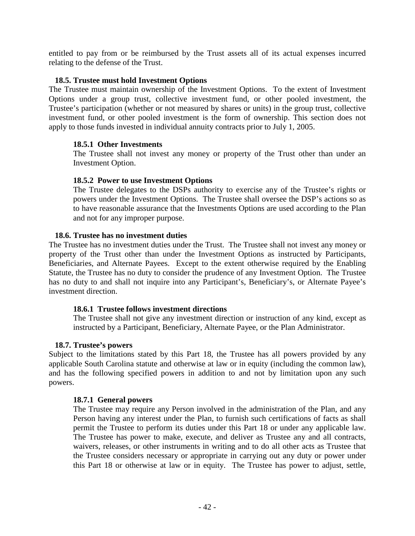entitled to pay from or be reimbursed by the Trust assets all of its actual expenses incurred relating to the defense of the Trust.

#### **18.5. Trustee must hold Investment Options**

The Trustee must maintain ownership of the Investment Options. To the extent of Investment Options under a group trust, collective investment fund, or other pooled investment, the Trustee's participation (whether or not measured by shares or units) in the group trust, collective investment fund, or other pooled investment is the form of ownership. This section does not apply to those funds invested in individual annuity contracts prior to July 1, 2005.

#### **18.5.1 Other Investments**

The Trustee shall not invest any money or property of the Trust other than under an Investment Option.

#### **18.5.2 Power to use Investment Options**

The Trustee delegates to the DSPs authority to exercise any of the Trustee's rights or powers under the Investment Options. The Trustee shall oversee the DSP's actions so as to have reasonable assurance that the Investments Options are used according to the Plan and not for any improper purpose.

#### **18.6. Trustee has no investment duties**

The Trustee has no investment duties under the Trust. The Trustee shall not invest any money or property of the Trust other than under the Investment Options as instructed by Participants, Beneficiaries, and Alternate Payees. Except to the extent otherwise required by the Enabling Statute, the Trustee has no duty to consider the prudence of any Investment Option. The Trustee has no duty to and shall not inquire into any Participant's, Beneficiary's, or Alternate Payee's investment direction.

#### **18.6.1 Trustee follows investment directions**

The Trustee shall not give any investment direction or instruction of any kind, except as instructed by a Participant, Beneficiary, Alternate Payee, or the Plan Administrator.

#### **18.7. Trustee's powers**

Subject to the limitations stated by this Part 18, the Trustee has all powers provided by any applicable South Carolina statute and otherwise at law or in equity (including the common law), and has the following specified powers in addition to and not by limitation upon any such powers.

#### **18.7.1 General powers**

The Trustee may require any Person involved in the administration of the Plan, and any Person having any interest under the Plan, to furnish such certifications of facts as shall permit the Trustee to perform its duties under this Part 18 or under any applicable law. The Trustee has power to make, execute, and deliver as Trustee any and all contracts, waivers, releases, or other instruments in writing and to do all other acts as Trustee that the Trustee considers necessary or appropriate in carrying out any duty or power under this Part 18 or otherwise at law or in equity. The Trustee has power to adjust, settle,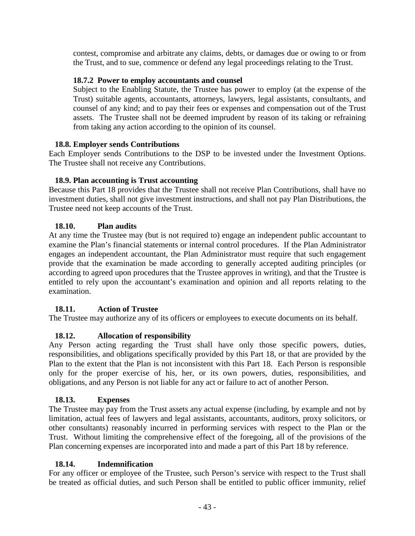contest, compromise and arbitrate any claims, debts, or damages due or owing to or from the Trust, and to sue, commence or defend any legal proceedings relating to the Trust.

#### **18.7.2 Power to employ accountants and counsel**

Subject to the Enabling Statute, the Trustee has power to employ (at the expense of the Trust) suitable agents, accountants, attorneys, lawyers, legal assistants, consultants, and counsel of any kind; and to pay their fees or expenses and compensation out of the Trust assets. The Trustee shall not be deemed imprudent by reason of its taking or refraining from taking any action according to the opinion of its counsel.

### **18.8. Employer sends Contributions**

Each Employer sends Contributions to the DSP to be invested under the Investment Options. The Trustee shall not receive any Contributions.

### **18.9. Plan accounting is Trust accounting**

Because this Part 18 provides that the Trustee shall not receive Plan Contributions, shall have no investment duties, shall not give investment instructions, and shall not pay Plan Distributions, the Trustee need not keep accounts of the Trust.

### **18.10. Plan audits**

At any time the Trustee may (but is not required to) engage an independent public accountant to examine the Plan's financial statements or internal control procedures. If the Plan Administrator engages an independent accountant, the Plan Administrator must require that such engagement provide that the examination be made according to generally accepted auditing principles (or according to agreed upon procedures that the Trustee approves in writing), and that the Trustee is entitled to rely upon the accountant's examination and opinion and all reports relating to the examination.

### **18.11. Action of Trustee**

The Trustee may authorize any of its officers or employees to execute documents on its behalf.

### **18.12. Allocation of responsibility**

Any Person acting regarding the Trust shall have only those specific powers, duties, responsibilities, and obligations specifically provided by this Part 18, or that are provided by the Plan to the extent that the Plan is not inconsistent with this Part 18. Each Person is responsible only for the proper exercise of his, her, or its own powers, duties, responsibilities, and obligations, and any Person is not liable for any act or failure to act of another Person.

#### **18.13. Expenses**

The Trustee may pay from the Trust assets any actual expense (including, by example and not by limitation, actual fees of lawyers and legal assistants, accountants, auditors, proxy solicitors, or other consultants) reasonably incurred in performing services with respect to the Plan or the Trust. Without limiting the comprehensive effect of the foregoing, all of the provisions of the Plan concerning expenses are incorporated into and made a part of this Part 18 by reference.

#### **18.14. Indemnification**

For any officer or employee of the Trustee, such Person's service with respect to the Trust shall be treated as official duties, and such Person shall be entitled to public officer immunity, relief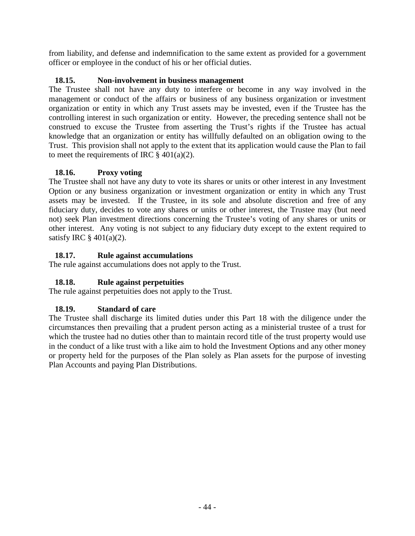from liability, and defense and indemnification to the same extent as provided for a government officer or employee in the conduct of his or her official duties.

### **18.15. Non-involvement in business management**

The Trustee shall not have any duty to interfere or become in any way involved in the management or conduct of the affairs or business of any business organization or investment organization or entity in which any Trust assets may be invested, even if the Trustee has the controlling interest in such organization or entity. However, the preceding sentence shall not be construed to excuse the Trustee from asserting the Trust's rights if the Trustee has actual knowledge that an organization or entity has willfully defaulted on an obligation owing to the Trust. This provision shall not apply to the extent that its application would cause the Plan to fail to meet the requirements of IRC  $\S$  401(a)(2).

### **18.16. Proxy voting**

The Trustee shall not have any duty to vote its shares or units or other interest in any Investment Option or any business organization or investment organization or entity in which any Trust assets may be invested. If the Trustee, in its sole and absolute discretion and free of any fiduciary duty, decides to vote any shares or units or other interest, the Trustee may (but need not) seek Plan investment directions concerning the Trustee's voting of any shares or units or other interest. Any voting is not subject to any fiduciary duty except to the extent required to satisfy IRC  $\S$  401(a)(2).

### **18.17. Rule against accumulations**

The rule against accumulations does not apply to the Trust.

### **18.18. Rule against perpetuities**

The rule against perpetuities does not apply to the Trust.

### **18.19. Standard of care**

The Trustee shall discharge its limited duties under this Part 18 with the diligence under the circumstances then prevailing that a prudent person acting as a ministerial trustee of a trust for which the trustee had no duties other than to maintain record title of the trust property would use in the conduct of a like trust with a like aim to hold the Investment Options and any other money or property held for the purposes of the Plan solely as Plan assets for the purpose of investing Plan Accounts and paying Plan Distributions.